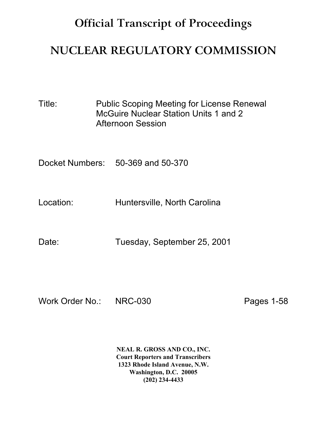## **Official Transcript of Proceedings**

## **NUCLEAR REGULATORY COMMISSION**

Title: Public Scoping Meeting for License Renewal McGuire Nuclear Station Units 1 and 2 Afternoon Session

Docket Numbers: 50-369 and 50-370

Location: Huntersville, North Carolina

Date: Tuesday, September 25, 2001

Work Order No.: NRC-030 Pages 1-58

**NEAL R. GROSS AND CO., INC. Court Reporters and Transcribers 1323 Rhode Island Avenue, N.W. Washington, D.C. 20005 (202) 234-4433**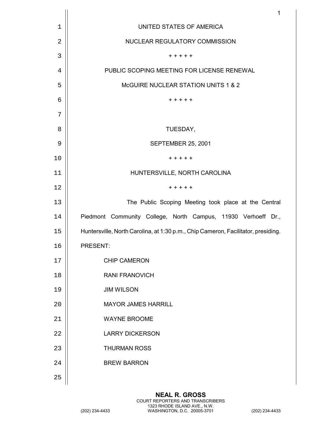|             | $\mathbf{1}$                                                                      |
|-------------|-----------------------------------------------------------------------------------|
| $\mathbf 1$ | UNITED STATES OF AMERICA                                                          |
| 2           | NUCLEAR REGULATORY COMMISSION                                                     |
| 3           | + + + + +                                                                         |
| 4           | PUBLIC SCOPING MEETING FOR LICENSE RENEWAL                                        |
| 5           | McGUIRE NUCLEAR STATION UNITS 1 & 2                                               |
| 6           | + + + + +                                                                         |
| 7           |                                                                                   |
| 8           | TUESDAY,                                                                          |
| 9           | SEPTEMBER 25, 2001                                                                |
| 10          | + + + + +                                                                         |
| 11          | HUNTERSVILLE, NORTH CAROLINA                                                      |
| 12          | $+ + + + +$                                                                       |
| 13          | The Public Scoping Meeting took place at the Central                              |
| 14          | Piedmont Community College, North Campus, 11930 Verhoeff Dr.,                     |
| 15          | Huntersville, North Carolina, at 1:30 p.m., Chip Cameron, Facilitator, presiding. |
| 16          | PRESENT:                                                                          |
| 17          | <b>CHIP CAMERON</b>                                                               |
| 18          | <b>RANI FRANOVICH</b>                                                             |
| 19          | <b>JIM WILSON</b>                                                                 |
| 20          | <b>MAYOR JAMES HARRILL</b>                                                        |
| 21          | <b>WAYNE BROOME</b>                                                               |
| 22          | <b>LARRY DICKERSON</b>                                                            |
| 23          | <b>THURMAN ROSS</b>                                                               |
| 24          | <b>BREW BARRON</b>                                                                |
| 25          |                                                                                   |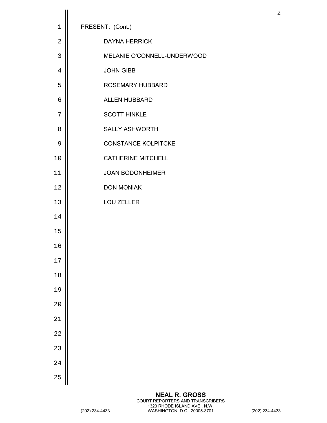|                |                             | $\overline{2}$ |
|----------------|-----------------------------|----------------|
| $\mathbf 1$    | PRESENT: (Cont.)            |                |
| $\overline{2}$ | <b>DAYNA HERRICK</b>        |                |
| $\mathbf{3}$   | MELANIE O'CONNELL-UNDERWOOD |                |
| $\overline{4}$ | <b>JOHN GIBB</b>            |                |
| 5              | ROSEMARY HUBBARD            |                |
| 6              | ALLEN HUBBARD               |                |
| 7              | <b>SCOTT HINKLE</b>         |                |
| 8              | <b>SALLY ASHWORTH</b>       |                |
| 9              | <b>CONSTANCE KOLPITCKE</b>  |                |
| 10             | <b>CATHERINE MITCHELL</b>   |                |
| 11             | <b>JOAN BODONHEIMER</b>     |                |
| 12             | <b>DON MONIAK</b>           |                |
| 13             | <b>LOU ZELLER</b>           |                |
| 14             |                             |                |
| 15             |                             |                |
| 16             |                             |                |
| $17\,$         |                             |                |
| $18$           |                             |                |
| 19             |                             |                |
| 20             |                             |                |
| 21             |                             |                |
| 22             |                             |                |
| 23             |                             |                |
| 24             |                             |                |
| 25             |                             |                |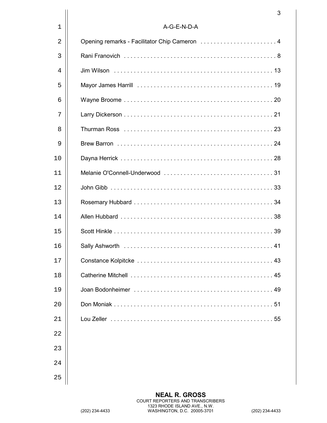|    | 3                                                                                                                                                                                                                                    |
|----|--------------------------------------------------------------------------------------------------------------------------------------------------------------------------------------------------------------------------------------|
| 1  | A-G-E-N-D-A                                                                                                                                                                                                                          |
| 2  | Opening remarks - Facilitator Chip Cameron  4                                                                                                                                                                                        |
| 3  |                                                                                                                                                                                                                                      |
| 4  |                                                                                                                                                                                                                                      |
| 5  |                                                                                                                                                                                                                                      |
| 6  |                                                                                                                                                                                                                                      |
| 7  |                                                                                                                                                                                                                                      |
| 8  |                                                                                                                                                                                                                                      |
| 9  |                                                                                                                                                                                                                                      |
| 10 |                                                                                                                                                                                                                                      |
| 11 |                                                                                                                                                                                                                                      |
| 12 |                                                                                                                                                                                                                                      |
| 13 |                                                                                                                                                                                                                                      |
| 14 |                                                                                                                                                                                                                                      |
| 15 |                                                                                                                                                                                                                                      |
| 16 | Sally Ashworth (and the contract of the contract of the contract of the contract of the contract of the contract of the contract of the contract of the contract of the contract of the contract of the contract of the contra<br>41 |
| 17 |                                                                                                                                                                                                                                      |
| 18 |                                                                                                                                                                                                                                      |
| 19 |                                                                                                                                                                                                                                      |
| 20 |                                                                                                                                                                                                                                      |
| 21 |                                                                                                                                                                                                                                      |
| 22 |                                                                                                                                                                                                                                      |
| 23 |                                                                                                                                                                                                                                      |
| 24 |                                                                                                                                                                                                                                      |
| 25 |                                                                                                                                                                                                                                      |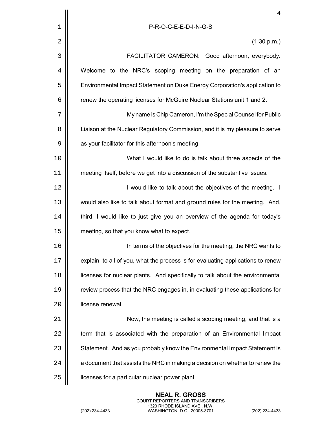|    | 4                                                                                |
|----|----------------------------------------------------------------------------------|
| 1  | P-R-O-C-E-E-D-I-N-G-S                                                            |
| 2  | (1:30 p.m.)                                                                      |
| 3  | FACILITATOR CAMERON: Good afternoon, everybody.                                  |
| 4  | Welcome to the NRC's scoping meeting on the preparation of an                    |
| 5  | Environmental Impact Statement on Duke Energy Corporation's application to       |
| 6  | renew the operating licenses for McGuire Nuclear Stations unit 1 and 2.          |
| 7  | My name is Chip Cameron, I'm the Special Counsel for Public                      |
| 8  | Liaison at the Nuclear Regulatory Commission, and it is my pleasure to serve     |
| 9  | as your facilitator for this afternoon's meeting.                                |
| 10 | What I would like to do is talk about three aspects of the                       |
| 11 | meeting itself, before we get into a discussion of the substantive issues.       |
| 12 | I would like to talk about the objectives of the meeting. I                      |
| 13 | would also like to talk about format and ground rules for the meeting. And,      |
| 14 | third, I would like to just give you an overview of the agenda for today's       |
| 15 | meeting, so that you know what to expect.                                        |
| 16 | In terms of the objectives for the meeting, the NRC wants to                     |
| 17 | explain, to all of you, what the process is for evaluating applications to renew |
| 18 | licenses for nuclear plants. And specifically to talk about the environmental    |
| 19 | review process that the NRC engages in, in evaluating these applications for     |
| 20 | license renewal.                                                                 |
| 21 | Now, the meeting is called a scoping meeting, and that is a                      |
| 22 | term that is associated with the preparation of an Environmental Impact          |
| 23 | Statement. And as you probably know the Environmental Impact Statement is        |
| 24 | a document that assists the NRC in making a decision on whether to renew the     |
| 25 | licenses for a particular nuclear power plant.                                   |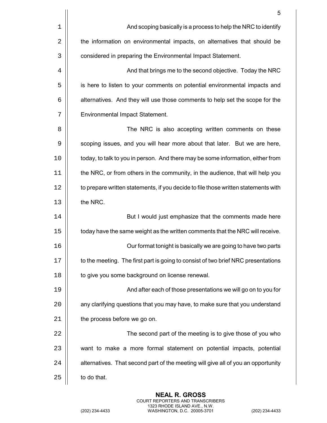|    | 5                                                                                  |
|----|------------------------------------------------------------------------------------|
| 1  | And scoping basically is a process to help the NRC to identify                     |
| 2  | the information on environmental impacts, on alternatives that should be           |
| 3  | considered in preparing the Environmental Impact Statement.                        |
| 4  | And that brings me to the second objective. Today the NRC                          |
| 5  | is here to listen to your comments on potential environmental impacts and          |
| 6  | alternatives. And they will use those comments to help set the scope for the       |
| 7  | Environmental Impact Statement.                                                    |
| 8  | The NRC is also accepting written comments on these                                |
| 9  | scoping issues, and you will hear more about that later. But we are here,          |
| 10 | today, to talk to you in person. And there may be some information, either from    |
| 11 | the NRC, or from others in the community, in the audience, that will help you      |
| 12 | to prepare written statements, if you decide to file those written statements with |
| 13 | the NRC.                                                                           |
| 14 | But I would just emphasize that the comments made here                             |
| 15 | today have the same weight as the written comments that the NRC will receive.      |
| 16 | Our format tonight is basically we are going to have two parts                     |
| 17 | to the meeting. The first part is going to consist of two brief NRC presentations  |
| 18 | to give you some background on license renewal.                                    |
| 19 | And after each of those presentations we will go on to you for                     |
| 20 | any clarifying questions that you may have, to make sure that you understand       |
| 21 | the process before we go on.                                                       |
| 22 | The second part of the meeting is to give those of you who                         |
| 23 | want to make a more formal statement on potential impacts, potential               |
| 24 | alternatives. That second part of the meeting will give all of you an opportunity  |
| 25 | to do that.                                                                        |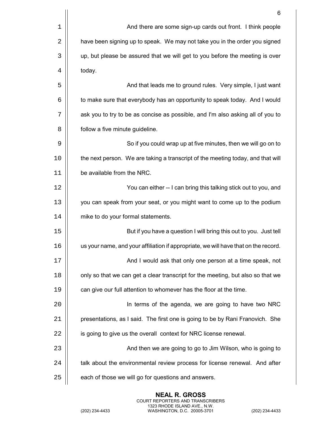|    | 6                                                                                  |
|----|------------------------------------------------------------------------------------|
| 1  | And there are some sign-up cards out front. I think people                         |
| 2  | have been signing up to speak. We may not take you in the order you signed         |
| 3  | up, but please be assured that we will get to you before the meeting is over       |
| 4  | today.                                                                             |
| 5  | And that leads me to ground rules. Very simple, I just want                        |
| 6  | to make sure that everybody has an opportunity to speak today. And I would         |
| 7  | ask you to try to be as concise as possible, and I'm also asking all of you to     |
| 8  | follow a five minute guideline.                                                    |
| 9  | So if you could wrap up at five minutes, then we will go on to                     |
| 10 | the next person. We are taking a transcript of the meeting today, and that will    |
| 11 | be available from the NRC.                                                         |
| 12 | You can either -- I can bring this talking stick out to you, and                   |
| 13 | you can speak from your seat, or you might want to come up to the podium           |
| 14 | mike to do your formal statements.                                                 |
| 15 | But if you have a question I will bring this out to you. Just tell                 |
| 16 | us your name, and your affiliation if appropriate, we will have that on the record |
| 17 | And I would ask that only one person at a time speak, not                          |
| 18 | only so that we can get a clear transcript for the meeting, but also so that we    |
| 19 | can give our full attention to whomever has the floor at the time.                 |
| 20 | In terms of the agenda, we are going to have two NRC                               |
| 21 | presentations, as I said. The first one is going to be by Rani Franovich. She      |
| 22 | is going to give us the overall context for NRC license renewal.                   |
| 23 | And then we are going to go to Jim Wilson, who is going to                         |
| 24 | talk about the environmental review process for license renewal. And after         |
| 25 | each of those we will go for questions and answers.                                |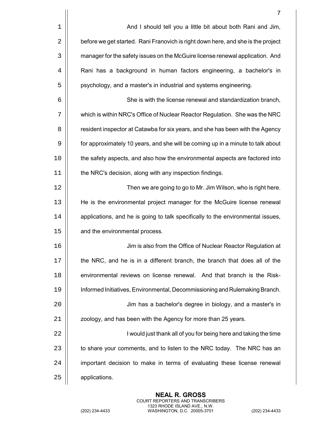|       | $\overline{7}$                                                                   |
|-------|----------------------------------------------------------------------------------|
| $1\,$ | And I should tell you a little bit about both Rani and Jim,                      |
| 2     | before we get started. Rani Franovich is right down here, and she is the project |
| 3     | manager for the safety issues on the McGuire license renewal application. And    |
| 4     | Rani has a background in human factors engineering, a bachelor's in              |
| 5     | psychology, and a master's in industrial and systems engineering.                |
| 6     | She is with the license renewal and standardization branch,                      |
| 7     | which is within NRC's Office of Nuclear Reactor Regulation. She was the NRC      |
| 8     | resident inspector at Catawba for six years, and she has been with the Agency    |
| 9     | for approximately 10 years, and she will be coming up in a minute to talk about  |
| 10    | the safety aspects, and also how the environmental aspects are factored into     |
| 11    | the NRC's decision, along with any inspection findings.                          |
| 12    | Then we are going to go to Mr. Jim Wilson, who is right here.                    |
| 13    | He is the environmental project manager for the McGuire license renewal          |
| 14    | applications, and he is going to talk specifically to the environmental issues,  |
| 15    | and the environmental process.                                                   |
| 16    | Jim is also from the Office of Nuclear Reactor Regulation at                     |
| 17    | the NRC, and he is in a different branch, the branch that does all of the        |
| 18    | environmental reviews on license renewal. And that branch is the Risk-           |
| 19    | Informed Initiatives, Environmental, Decommissioning and Rulemaking Branch.      |
| 20    | Jim has a bachelor's degree in biology, and a master's in                        |
| 21    | zoology, and has been with the Agency for more than 25 years.                    |
| 22    | I would just thank all of you for being here and taking the time                 |
| 23    | to share your comments, and to listen to the NRC today. The NRC has an           |
| 24    | important decision to make in terms of evaluating these license renewal          |
| 25    | applications.                                                                    |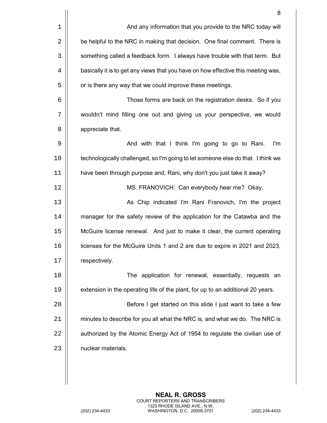|    | 8                                                                                 |
|----|-----------------------------------------------------------------------------------|
| 1  | And any information that you provide to the NRC today will                        |
| 2  | be helpful to the NRC in making that decision. One final comment. There is        |
| 3  | something called a feedback form. I always have trouble with that term. But       |
| 4  | basically it is to get any views that you have on how effective this meeting was, |
| 5  | or is there any way that we could improve these meetings.                         |
| 6  | Those forms are back on the registration desks. So if you                         |
| 7  | wouldn't mind filling one out and giving us your perspective, we would            |
| 8  | appreciate that.                                                                  |
| 9  | And with that I think I'm going to go to Rani.<br>I'm                             |
| 10 | technologically challenged, so I'm going to let someone else do that. I think we  |
| 11 | have been through purpose and, Rani, why don't you just take it away?             |
| 12 | MS. FRANOVICH: Can everybody hear me? Okay.                                       |
| 13 | As Chip indicated I'm Rani Franovich, I'm the project                             |
| 14 | manager for the safety review of the application for the Catawba and the          |
| 15 | McGuire license renewal. And just to make it clear, the current operating         |
| 16 | licenses for the McGuire Units 1 and 2 are due to expire in 2021 and 2023,        |
| 17 | respectively.                                                                     |
| 18 | The application for renewal, essentially, requests an                             |
| 19 | extension in the operating life of the plant, for up to an additional 20 years.   |
| 20 | Before I get started on this slide I just want to take a few                      |
| 21 | minutes to describe for you all what the NRC is, and what we do. The NRC is       |
| 22 | authorized by the Atomic Energy Act of 1954 to regulate the civilian use of       |
| 23 | nuclear materials.                                                                |
|    |                                                                                   |
|    |                                                                                   |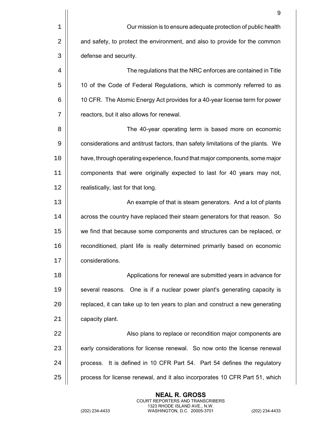|    | 9                                                                               |
|----|---------------------------------------------------------------------------------|
| 1  | Our mission is to ensure adequate protection of public health                   |
| 2  | and safety, to protect the environment, and also to provide for the common      |
| 3  | defense and security.                                                           |
| 4  | The regulations that the NRC enforces are contained in Title                    |
| 5  | 10 of the Code of Federal Regulations, which is commonly referred to as         |
| 6  | 10 CFR. The Atomic Energy Act provides for a 40-year license term for power     |
| 7  | reactors, but it also allows for renewal.                                       |
| 8  | The 40-year operating term is based more on economic                            |
| 9  | considerations and antitrust factors, than safety limitations of the plants. We |
| 10 | have, through operating experience, found that major components, some major     |
| 11 | components that were originally expected to last for 40 years may not,          |
| 12 | realistically, last for that long.                                              |
| 13 | An example of that is steam generators. And a lot of plants                     |
| 14 | across the country have replaced their steam generators for that reason. So     |
| 15 | we find that because some components and structures can be replaced, or         |
| 16 | reconditioned, plant life is really determined primarily based on economic      |
| 17 | considerations.                                                                 |
| 18 | Applications for renewal are submitted years in advance for                     |
| 19 | several reasons. One is if a nuclear power plant's generating capacity is       |
| 20 | replaced, it can take up to ten years to plan and construct a new generating    |
| 21 | capacity plant.                                                                 |
| 22 | Also plans to replace or recondition major components are                       |
| 23 | early considerations for license renewal. So now onto the license renewal       |
| 24 | process. It is defined in 10 CFR Part 54. Part 54 defines the regulatory        |
| 25 | process for license renewal, and it also incorporates 10 CFR Part 51, which     |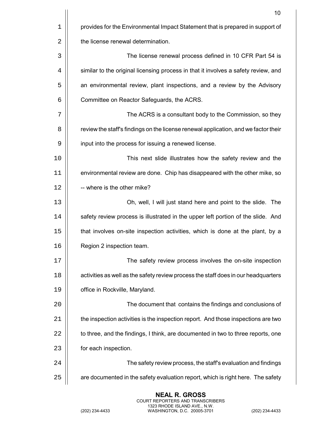|    | 10                                                                                  |
|----|-------------------------------------------------------------------------------------|
| 1  | provides for the Environmental Impact Statement that is prepared in support of      |
| 2  | the license renewal determination.                                                  |
| 3  | The license renewal process defined in 10 CFR Part 54 is                            |
| 4  | similar to the original licensing process in that it involves a safety review, and  |
| 5  | an environmental review, plant inspections, and a review by the Advisory            |
| 6  | Committee on Reactor Safeguards, the ACRS.                                          |
| 7  | The ACRS is a consultant body to the Commission, so they                            |
| 8  | review the staff's findings on the license renewal application, and we factor their |
| 9  | input into the process for issuing a renewed license.                               |
| 10 | This next slide illustrates how the safety review and the                           |
| 11 | environmental review are done. Chip has disappeared with the other mike, so         |
| 12 | -- where is the other mike?                                                         |
| 13 | Oh, well, I will just stand here and point to the slide. The                        |
| 14 | safety review process is illustrated in the upper left portion of the slide. And    |
| 15 | that involves on-site inspection activities, which is done at the plant, by a       |
| 16 | Region 2 inspection team.                                                           |
| 17 | The safety review process involves the on-site inspection                           |
| 18 | activities as well as the safety review process the staff does in our headquarters  |
| 19 | office in Rockville, Maryland.                                                      |
| 20 | The document that contains the findings and conclusions of                          |
| 21 | the inspection activities is the inspection report. And those inspections are two   |
| 22 | to three, and the findings, I think, are documented in two to three reports, one    |
| 23 | for each inspection.                                                                |
| 24 | The safety review process, the staff's evaluation and findings                      |
| 25 | are documented in the safety evaluation report, which is right here. The safety     |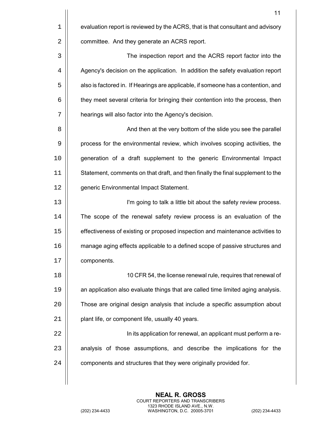|             | 11                                                                                |
|-------------|-----------------------------------------------------------------------------------|
| $\mathbf 1$ | evaluation report is reviewed by the ACRS, that is that consultant and advisory   |
| 2           | committee. And they generate an ACRS report.                                      |
| 3           | The inspection report and the ACRS report factor into the                         |
| 4           | Agency's decision on the application. In addition the safety evaluation report    |
| 5           | also is factored in. If Hearings are applicable, if someone has a contention, and |
| 6           | they meet several criteria for bringing their contention into the process, then   |
| 7           | hearings will also factor into the Agency's decision.                             |
| 8           | And then at the very bottom of the slide you see the parallel                     |
| 9           | process for the environmental review, which involves scoping activities, the      |
| 10          | generation of a draft supplement to the generic Environmental Impact              |
| 11          | Statement, comments on that draft, and then finally the final supplement to the   |
| 12          | generic Environmental Impact Statement.                                           |
| 13          | I'm going to talk a little bit about the safety review process.                   |
| 14          | The scope of the renewal safety review process is an evaluation of the            |
| 15          | effectiveness of existing or proposed inspection and maintenance activities to    |
| 16          | manage aging effects applicable to a defined scope of passive structures and      |
| 17          | components.                                                                       |
| 18          | 10 CFR 54, the license renewal rule, requires that renewal of                     |
| 19          | an application also evaluate things that are called time limited aging analysis.  |
| 20          | Those are original design analysis that include a specific assumption about       |
| 21          | plant life, or component life, usually 40 years.                                  |
| 22          | In its application for renewal, an applicant must perform a re-                   |
| 23          | analysis of those assumptions, and describe the implications for the              |
| 24          | components and structures that they were originally provided for.                 |
|             |                                                                                   |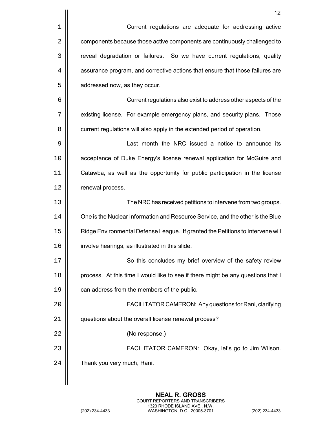|    | 12                                                                               |
|----|----------------------------------------------------------------------------------|
| 1  | Current regulations are adequate for addressing active                           |
| 2  | components because those active components are continuously challenged to        |
| 3  | reveal degradation or failures. So we have current regulations, quality          |
| 4  | assurance program, and corrective actions that ensure that those failures are    |
| 5  | addressed now, as they occur.                                                    |
| 6  | Current regulations also exist to address other aspects of the                   |
| 7  | existing license. For example emergency plans, and security plans. Those         |
| 8  | current regulations will also apply in the extended period of operation.         |
| 9  | Last month the NRC issued a notice to announce its                               |
| 10 | acceptance of Duke Energy's license renewal application for McGuire and          |
| 11 | Catawba, as well as the opportunity for public participation in the license      |
| 12 | renewal process.                                                                 |
| 13 | The NRC has received petitions to intervene from two groups.                     |
| 14 | One is the Nuclear Information and Resource Service, and the other is the Blue   |
| 15 | Ridge Environmental Defense League. If granted the Petitions to Intervene will   |
| 16 | involve hearings, as illustrated in this slide                                   |
| 17 | So this concludes my brief overview of the safety review                         |
| 18 | process. At this time I would like to see if there might be any questions that I |
| 19 | can address from the members of the public.                                      |
| 20 | FACILITATOR CAMERON: Any questions for Rani, clarifying                          |
| 21 | questions about the overall license renewal process?                             |
| 22 | (No response.)                                                                   |
| 23 | FACILITATOR CAMERON: Okay, let's go to Jim Wilson.                               |
| 24 | Thank you very much, Rani.                                                       |
|    |                                                                                  |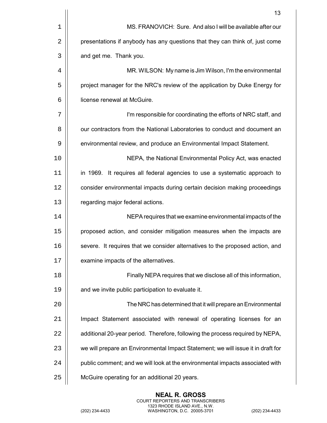|             | 13                                                                               |
|-------------|----------------------------------------------------------------------------------|
| $\mathbf 1$ | MS. FRANOVICH: Sure. And also I will be available after our                      |
| 2           | presentations if anybody has any questions that they can think of, just come     |
| 3           | and get me. Thank you.                                                           |
| 4           | MR. WILSON: My name is Jim Wilson, I'm the environmental                         |
| 5           | project manager for the NRC's review of the application by Duke Energy for       |
| 6           | license renewal at McGuire.                                                      |
| 7           | I'm responsible for coordinating the efforts of NRC staff, and                   |
| 8           | our contractors from the National Laboratories to conduct and document an        |
| 9           | environmental review, and produce an Environmental Impact Statement.             |
| 10          | NEPA, the National Environmental Policy Act, was enacted                         |
| 11          | in 1969. It requires all federal agencies to use a systematic approach to        |
| 12          | consider environmental impacts during certain decision making proceedings        |
| 13          | regarding major federal actions.                                                 |
| 14          | NEPA requires that we examine environmental impacts of the                       |
| 15          | proposed action, and consider mitigation measures when the impacts are           |
| 16          | severe. It requires that we consider alternatives to the proposed action, and    |
| 17          | examine impacts of the alternatives.                                             |
| 18          | Finally NEPA requires that we disclose all of this information,                  |
| 19          | and we invite public participation to evaluate it.                               |
| 20          | The NRC has determined that it will prepare an Environmental                     |
| 21          | Impact Statement associated with renewal of operating licenses for an            |
| 22          | additional 20-year period. Therefore, following the process required by NEPA,    |
| 23          | we will prepare an Environmental Impact Statement; we will issue it in draft for |
| 24          | public comment; and we will look at the environmental impacts associated with    |
| 25          | McGuire operating for an additional 20 years.                                    |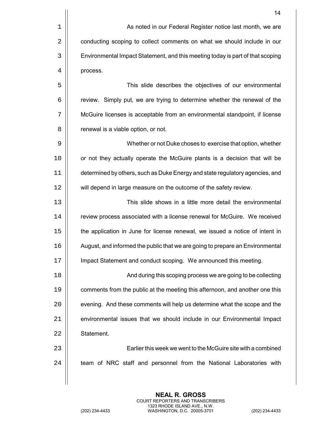|    | 14                                                                             |
|----|--------------------------------------------------------------------------------|
| 1  | As noted in our Federal Register notice last month, we are                     |
| 2  | conducting scoping to collect comments on what we should include in our        |
| 3  | Environmental Impact Statement, and this meeting today is part of that scoping |
| 4  | process.                                                                       |
| 5  | This slide describes the objectives of our environmental                       |
| 6  | review. Simply put, we are trying to determine whether the renewal of the      |
| 7  | McGuire licenses is acceptable from an environmental standpoint, if license    |
| 8  | renewal is a viable option, or not.                                            |
| 9  | Whether or not Duke choses to exercise that option, whether                    |
| 10 | or not they actually operate the McGuire plants is a decision that will be     |
| 11 | determined by others, such as Duke Energy and state regulatory agencies, and   |
| 12 | will depend in large measure on the outcome of the safety review.              |
| 13 | This slide shows in a little more detail the environmental                     |
| 14 | review process associated with a license renewal for McGuire. We received      |
| 15 | the application in June for license renewal, we issued a notice of intent in   |
| 16 | August, and informed the public that we are going to prepare an Environmental  |
| 17 | Impact Statement and conduct scoping. We announced this meeting.               |
| 18 | And during this scoping process we are going to be collecting                  |
| 19 | comments from the public at the meeting this afternoon, and another one this   |
| 20 | evening. And these comments will help us determine what the scope and the      |
| 21 | environmental issues that we should include in our Environmental Impact        |
| 22 | Statement.                                                                     |
| 23 | Earlier this week we went to the McGuire site with a combined                  |
| 24 | team of NRC staff and personnel from the National Laboratories with            |
|    |                                                                                |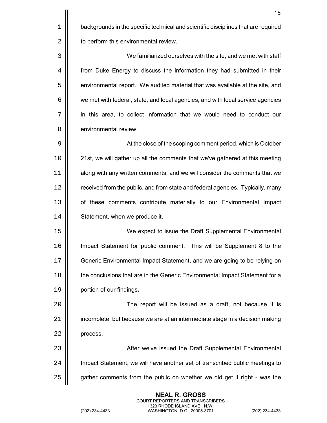|    | 15                                                                                 |
|----|------------------------------------------------------------------------------------|
| 1  | backgrounds in the specific technical and scientific disciplines that are required |
| 2  | to perform this environmental review.                                              |
| 3  | We familiarized ourselves with the site, and we met with staff                     |
| 4  | from Duke Energy to discuss the information they had submitted in their            |
| 5  | environmental report. We audited material that was available at the site, and      |
| 6  | we met with federal, state, and local agencies, and with local service agencies    |
| 7  | in this area, to collect information that we would need to conduct our             |
| 8  | environmental review.                                                              |
| 9  | At the close of the scoping comment period, which is October                       |
| 10 | 21st, we will gather up all the comments that we've gathered at this meeting       |
| 11 | along with any written comments, and we will consider the comments that we         |
| 12 | received from the public, and from state and federal agencies. Typically, many     |
| 13 | of these comments contribute materially to our Environmental Impact                |
| 14 | Statement, when we produce it.                                                     |
| 15 | We expect to issue the Draft Supplemental Environmental                            |
| 16 | Impact Statement for public comment. This will be Supplement 8 to the              |
| 17 | Generic Environmental Impact Statement, and we are going to be relying on          |
| 18 | the conclusions that are in the Generic Environmental Impact Statement for a       |
| 19 | portion of our findings.                                                           |
| 20 | The report will be issued as a draft, not because it is                            |
| 21 | incomplete, but because we are at an intermediate stage in a decision making       |
| 22 | process.                                                                           |
| 23 | After we've issued the Draft Supplemental Environmental                            |
| 24 | Impact Statement, we will have another set of transcribed public meetings to       |
| 25 | gather comments from the public on whether we did get it right - was the           |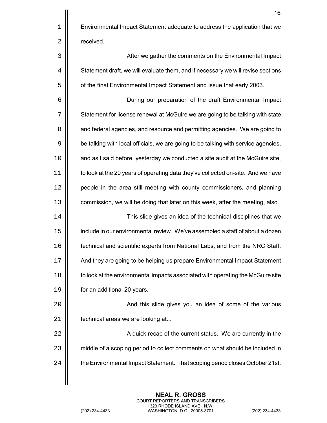|    | 16                                                                                 |
|----|------------------------------------------------------------------------------------|
| 1  | Environmental Impact Statement adequate to address the application that we         |
| 2  | received.                                                                          |
| 3  | After we gather the comments on the Environmental Impact                           |
| 4  | Statement draft, we will evaluate them, and if necessary we will revise sections   |
| 5  | of the final Environmental Impact Statement and issue that early 2003.             |
| 6  | During our preparation of the draft Environmental Impact                           |
| 7  | Statement for license renewal at McGuire we are going to be talking with state     |
| 8  | and federal agencies, and resource and permitting agencies. We are going to        |
| 9  | be talking with local officials, we are going to be talking with service agencies, |
| 10 | and as I said before, yesterday we conducted a site audit at the McGuire site,     |
| 11 | to look at the 20 years of operating data they've collected on-site. And we have   |
| 12 | people in the area still meeting with county commissioners, and planning           |
| 13 | commission, we will be doing that later on this week, after the meeting, also.     |
| 14 | This slide gives an idea of the technical disciplines that we                      |
| 15 | include in our environmental review. We've assembled a staff of about a dozen      |
| 16 | technical and scientific experts from National Labs, and from the NRC Staff.       |
| 17 | And they are going to be helping us prepare Environmental Impact Statement         |
| 18 | to look at the environmental impacts associated with operating the McGuire site    |
| 19 | for an additional 20 years.                                                        |
| 20 | And this slide gives you an idea of some of the various                            |
| 21 | technical areas we are looking at                                                  |
| 22 | A quick recap of the current status. We are currently in the                       |
| 23 | middle of a scoping period to collect comments on what should be included in       |
| 24 | the Environmental Impact Statement. That scoping period closes October 21st.       |
|    |                                                                                    |

**NEAL R. GROSS** COURT REPORTERS AND TRANSCRIBERS 1323 RHODE ISLAND AVE., N.W. (202) 234-4433 WASHINGTON, D.C. 20005-3701 (202) 234-4433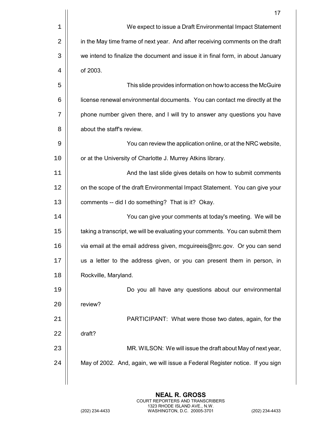|    | 17                                                                              |
|----|---------------------------------------------------------------------------------|
| 1  | We expect to issue a Draft Environmental Impact Statement                       |
| 2  | in the May time frame of next year. And after receiving comments on the draft   |
| 3  | we intend to finalize the document and issue it in final form, in about January |
| 4  | of 2003.                                                                        |
| 5  | This slide provides information on how to access the McGuire                    |
| 6  | license renewal environmental documents. You can contact me directly at the     |
| 7  | phone number given there, and I will try to answer any questions you have       |
| 8  | about the staff's review.                                                       |
| 9  | You can review the application online, or at the NRC website,                   |
| 10 | or at the University of Charlotte J. Murrey Atkins library.                     |
| 11 | And the last slide gives details on how to submit comments                      |
| 12 | on the scope of the draft Environmental Impact Statement. You can give your     |
| 13 | comments -- did I do something? That is it? Okay.                               |
| 14 | You can give your comments at today's meeting. We will be                       |
| 15 | taking a transcript, we will be evaluating your comments. You can submit them   |
| 16 | via email at the email address given, mcguireeis@nrc.gov. Or you can send       |
| 17 | us a letter to the address given, or you can present them in person, in         |
| 18 | Rockville, Maryland.                                                            |
| 19 | Do you all have any questions about our environmental                           |
| 20 | review?                                                                         |
| 21 | PARTICIPANT: What were those two dates, again, for the                          |
| 22 | draft?                                                                          |
| 23 | MR. WILSON: We will issue the draft about May of next year,                     |
| 24 | May of 2002. And, again, we will issue a Federal Register notice. If you sign   |
|    |                                                                                 |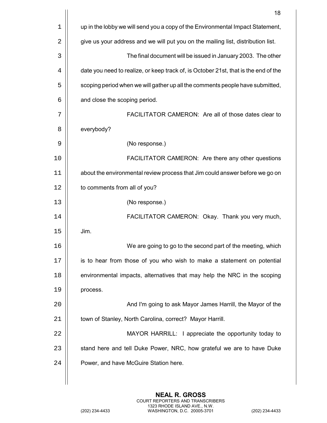|             | 18                                                                                  |
|-------------|-------------------------------------------------------------------------------------|
| $\mathbf 1$ | up in the lobby we will send you a copy of the Environmental Impact Statement,      |
| 2           | give us your address and we will put you on the mailing list, distribution list.    |
| 3           | The final document will be issued in January 2003. The other                        |
| 4           | date you need to realize, or keep track of, is October 21st, that is the end of the |
| 5           | scoping period when we will gather up all the comments people have submitted,       |
| 6           | and close the scoping period.                                                       |
| 7           | FACILITATOR CAMERON: Are all of those dates clear to                                |
| 8           | everybody?                                                                          |
| 9           | (No response.)                                                                      |
| 10          | FACILITATOR CAMERON: Are there any other questions                                  |
| 11          | about the environmental review process that Jim could answer before we go on        |
| 12          | to comments from all of you?                                                        |
| 13          | (No response.)                                                                      |
| 14          | FACILITATOR CAMERON: Okay. Thank you very much,                                     |
| 15          | Jim.                                                                                |
| 16          | We are going to go to the second part of the meeting, which                         |
| 17          | is to hear from those of you who wish to make a statement on potential              |
| 18          | environmental impacts, alternatives that may help the NRC in the scoping            |
| 19          | process.                                                                            |
| 20          | And I'm going to ask Mayor James Harrill, the Mayor of the                          |
| 21          | town of Stanley, North Carolina, correct? Mayor Harrill.                            |
| 22          | MAYOR HARRILL: I appreciate the opportunity today to                                |
| 23          | stand here and tell Duke Power, NRC, how grateful we are to have Duke               |
| 24          | Power, and have McGuire Station here.                                               |
|             |                                                                                     |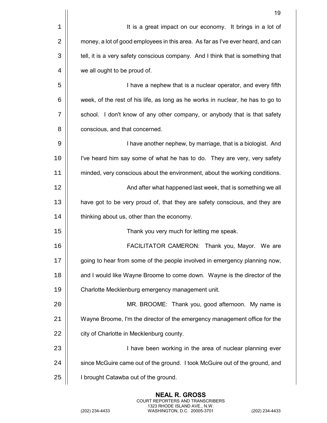|    | 19                                                                              |
|----|---------------------------------------------------------------------------------|
| 1  | It is a great impact on our economy. It brings in a lot of                      |
| 2  | money, a lot of good employees in this area. As far as I've ever heard, and can |
| 3  | tell, it is a very safety conscious company. And I think that is something that |
| 4  | we all ought to be proud of.                                                    |
| 5  | I have a nephew that is a nuclear operator, and every fifth                     |
| 6  | week, of the rest of his life, as long as he works in nuclear, he has to go to  |
| 7  | school. I don't know of any other company, or anybody that is that safety       |
| 8  | conscious, and that concerned.                                                  |
| 9  | I have another nephew, by marriage, that is a biologist. And                    |
| 10 | I've heard him say some of what he has to do. They are very, very safety        |
| 11 | minded, very conscious about the environment, about the working conditions.     |
| 12 | And after what happened last week, that is something we all                     |
| 13 | have got to be very proud of, that they are safety conscious, and they are      |
| 14 | thinking about us, other than the economy.                                      |
| 15 | Thank you very much for letting me speak.                                       |
| 16 | FACILITATOR CAMERON: Thank you, Mayor. We are                                   |
| 17 | going to hear from some of the people involved in emergency planning now,       |
| 18 | and I would like Wayne Broome to come down. Wayne is the director of the        |
| 19 | Charlotte Mecklenburg emergency management unit.                                |
| 20 | MR. BROOME: Thank you, good afternoon. My name is                               |
| 21 | Wayne Broome, I'm the director of the emergency management office for the       |
| 22 | city of Charlotte in Mecklenburg county.                                        |
| 23 | I have been working in the area of nuclear planning ever                        |
| 24 | since McGuire came out of the ground. I took McGuire out of the ground, and     |
| 25 | I brought Catawba out of the ground.                                            |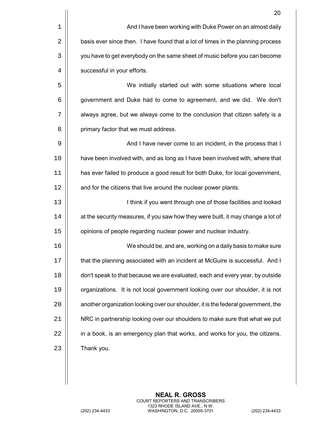|    | 20                                                                                |
|----|-----------------------------------------------------------------------------------|
| 1  | And I have been working with Duke Power on an almost daily                        |
| 2  | basis ever since then. I have found that a lot of times in the planning process   |
| 3  | you have to get everybody on the same sheet of music before you can become        |
| 4  | successful in your efforts.                                                       |
| 5  | We initially started out with some situations where local                         |
| 6  | government and Duke had to come to agreement, and we did. We don't                |
| 7  | always agree, but we always come to the conclusion that citizen safety is a       |
| 8  | primary factor that we must address.                                              |
| 9  | And I have never come to an incident, in the process that I                       |
| 10 | have been involved with, and as long as I have been involved with, where that     |
| 11 | has ever failed to produce a good result for both Duke, for local government,     |
| 12 | and for the citizens that live around the nuclear power plants.                   |
| 13 | I think if you went through one of those facilities and looked                    |
| 14 | at the security measures, if you saw how they were built, it may change a lot of  |
| 15 | opinions of people regarding nuclear power and nuclear industry.                  |
| 16 | We should be, and are, working on a daily basis to make sure                      |
| 17 | that the planning associated with an incident at McGuire is successful. And I     |
| 18 | don't speak to that because we are evaluated, each and every year, by outside     |
| 19 | organizations. It is not local government looking over our shoulder, it is not    |
| 20 | another organization looking over our shoulder, it is the federal government, the |
| 21 | NRC in partnership looking over our shoulders to make sure that what we put       |
| 22 | in a book, is an emergency plan that works, and works for you, the citizens.      |
| 23 | Thank you.                                                                        |
|    |                                                                                   |

**NEAL R. GROSS** COURT REPORTERS AND TRANSCRIBERS 1323 RHODE ISLAND AVE., N.W. (202) 234-4433 WASHINGTON, D.C. 20005-3701 (202) 234-4433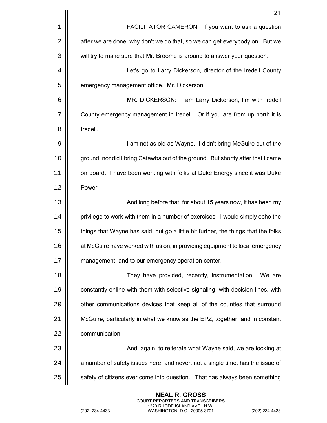|    | 21                                                                                 |
|----|------------------------------------------------------------------------------------|
| 1  | FACILITATOR CAMERON: If you want to ask a question                                 |
| 2  | after we are done, why don't we do that, so we can get everybody on. But we        |
| 3  | will try to make sure that Mr. Broome is around to answer your question.           |
| 4  | Let's go to Larry Dickerson, director of the Iredell County                        |
| 5  | emergency management office. Mr. Dickerson.                                        |
| 6  | MR. DICKERSON: I am Larry Dickerson, I'm with Iredell                              |
| 7  | County emergency management in Iredell. Or if you are from up north it is          |
| 8  | Iredell.                                                                           |
| 9  | I am not as old as Wayne. I didn't bring McGuire out of the                        |
| 10 | ground, nor did I bring Catawba out of the ground. But shortly after that I came   |
| 11 | on board. I have been working with folks at Duke Energy since it was Duke          |
| 12 | Power.                                                                             |
| 13 | And long before that, for about 15 years now, it has been my                       |
| 14 | privilege to work with them in a number of exercises. I would simply echo the      |
| 15 | things that Wayne has said, but go a little bit further, the things that the folks |
| 16 | at McGuire have worked with us on, in providing equipment to local emergency       |
| 17 | management, and to our emergency operation center.                                 |
| 18 | They have provided, recently, instrumentation.<br>We are                           |
| 19 | constantly online with them with selective signaling, with decision lines, with    |
| 20 | other communications devices that keep all of the counties that surround           |
| 21 | McGuire, particularly in what we know as the EPZ, together, and in constant        |
| 22 | communication.                                                                     |
| 23 | And, again, to reiterate what Wayne said, we are looking at                        |
| 24 | a number of safety issues here, and never, not a single time, has the issue of     |
| 25 | safety of citizens ever come into question. That has always been something         |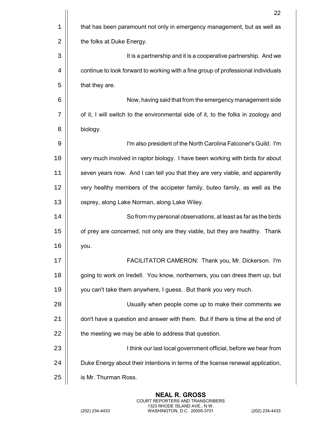|    | 22                                                                                |
|----|-----------------------------------------------------------------------------------|
| 1  | that has been paramount not only in emergency management, but as well as          |
| 2  | the folks at Duke Energy.                                                         |
| 3  | It is a partnership and it is a cooperative partnership. And we                   |
| 4  | continue to look forward to working with a fine group of professional individuals |
| 5  | that they are.                                                                    |
| 6  | Now, having said that from the emergency management side                          |
| 7  | of it, I will switch to the environmental side of it, to the folks in zoology and |
| 8  | biology.                                                                          |
| 9  | I'm also president of the North Carolina Falconer's Guild. I'm                    |
| 10 | very much involved in raptor biology. I have been working with birds for about    |
| 11 | seven years now. And I can tell you that they are very viable, and apparently     |
| 12 | very healthy members of the accipeter family, buteo family, as well as the        |
| 13 | osprey, along Lake Norman, along Lake Wiley.                                      |
| 14 | So from my personal observations, at least as far as the birds                    |
| 15 | of prey are concerned, not only are they viable, but they are healthy. Thank      |
| 16 | you.                                                                              |
| 17 | FACILITATOR CAMERON: Thank you, Mr. Dickerson. I'm                                |
| 18 | going to work on Iredell. You know, northerners, you can dress them up, but       |
| 19 | you can't take them anywhere, I guess. But thank you very much.                   |
| 20 | Usually when people come up to make their comments we                             |
| 21 | don't have a question and answer with them. But if there is time at the end of    |
| 22 | the meeting we may be able to address that question.                              |
| 23 | I think our last local government official, before we hear from                   |
| 24 | Duke Energy about their intentions in terms of the license renewal application,   |
| 25 | is Mr. Thurman Ross.                                                              |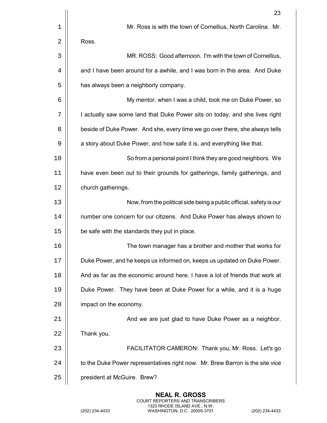|    | 23                                                                            |
|----|-------------------------------------------------------------------------------|
| 1  | Mr. Ross is with the town of Cornellius, North Carolina. Mr.                  |
| 2  | Ross.                                                                         |
| 3  | MR. ROSS: Good afternoon. I'm with the town of Cornellius,                    |
| 4  | and I have been around for a awhile, and I was born in this area. And Duke    |
| 5  | has always been a neighborly company.                                         |
| 6  | My mentor, when I was a child, took me on Duke Power, so                      |
| 7  | I actually saw some land that Duke Power sits on today, and she lives right   |
| 8  | beside of Duke Power. And she, every time we go over there, she always tells  |
| 9  | a story about Duke Power, and how safe it is, and everything like that.       |
| 10 | So from a personal point I think they are good neighbors. We                  |
| 11 | have even been out to their grounds for gatherings, family gatherings, and    |
| 12 | church gatherings.                                                            |
| 13 | Now, from the political side being a public official, safety is our           |
| 14 | number one concern for our citizens. And Duke Power has always shown to       |
| 15 | be safe with the standards they put in place.                                 |
| 16 | The town manager has a brother and mother that works for                      |
| 17 | Duke Power, and he keeps us informed on, keeps us updated on Duke Power.      |
| 18 | And as far as the economic around here, I have a lot of friends that work at  |
| 19 | Duke Power. They have been at Duke Power for a while, and it is a huge        |
| 20 | impact on the economy.                                                        |
| 21 | And we are just glad to have Duke Power as a neighbor.                        |
| 22 | Thank you.                                                                    |
| 23 | FACILITATOR CAMERON: Thank you, Mr. Ross. Let's go                            |
| 24 | to the Duke Power representatives right now. Mr. Brew Barron is the site vice |
| 25 | president at McGuire. Brew?                                                   |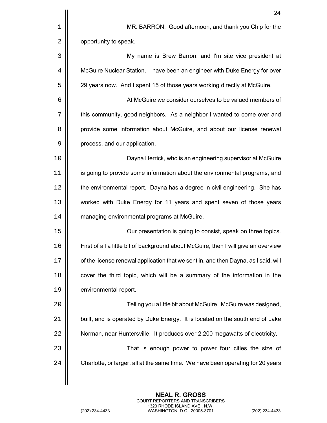|    | 24                                                                                  |
|----|-------------------------------------------------------------------------------------|
| 1  | MR. BARRON: Good afternoon, and thank you Chip for the                              |
| 2  | opportunity to speak.                                                               |
| 3  | My name is Brew Barron, and I'm site vice president at                              |
| 4  | McGuire Nuclear Station. I have been an engineer with Duke Energy for over          |
| 5  | 29 years now. And I spent 15 of those years working directly at McGuire.            |
| 6  | At McGuire we consider ourselves to be valued members of                            |
| 7  | this community, good neighbors. As a neighbor I wanted to come over and             |
| 8  | provide some information about McGuire, and about our license renewal               |
| 9  | process, and our application.                                                       |
| 10 | Dayna Herrick, who is an engineering supervisor at McGuire                          |
| 11 | is going to provide some information about the environmental programs, and          |
| 12 | the environmental report. Dayna has a degree in civil engineering. She has          |
| 13 | worked with Duke Energy for 11 years and spent seven of those years                 |
| 14 | managing environmental programs at McGuire.                                         |
| 15 | Our presentation is going to consist, speak on three topics.                        |
| 16 | First of all a little bit of background about McGuire, then I will give an overview |
| 17 | of the license renewal application that we sent in, and then Dayna, as I said, will |
| 18 | cover the third topic, which will be a summary of the information in the            |
| 19 | environmental report.                                                               |
| 20 | Telling you a little bit about McGuire. McGuire was designed,                       |
| 21 | built, and is operated by Duke Energy. It is located on the south end of Lake       |
| 22 | Norman, near Huntersville. It produces over 2,200 megawatts of electricity.         |
| 23 | That is enough power to power four cities the size of                               |
| 24 | Charlotte, or larger, all at the same time. We have been operating for 20 years     |
|    |                                                                                     |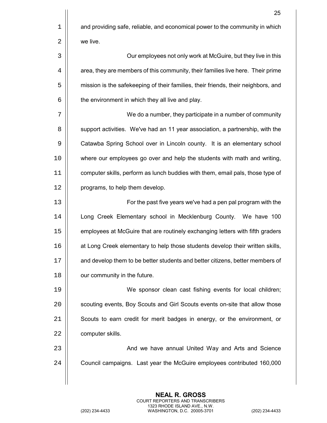$1$  and providing safe, reliable, and economical power to the community in which  $2 \parallel$  we live.

3 Our employees not only work at McGuire, but they live in this  $4 \parallel$  area, they are members of this community, their families live here. Their prime 5 | mission is the safekeeping of their families, their friends, their neighbors, and  $6$   $\vert$  the environment in which they all live and play.

7 | | We do a number, they participate in a number of community 8 | support activities. We've had an 11 year association, a partnership, with the 9 | Catawba Spring School over in Lincoln county. It is an elementary school 10 || where our employees go over and help the students with math and writing, 11 | computer skills, perform as lunch buddies with them, email pals, those type of 12 | programs, to help them develop.

13 || For the past five years we've had a pen pal program with the 14 Long Creek Elementary school in Mecklenburg County. We have 100 15 | employees at McGuire that are routinely exchanging letters with fifth graders 16 | at Long Creek elementary to help those students develop their written skills, 17 and develop them to be better students and better citizens, better members of 18 | our community in the future.

19 We sponsor clean cast fishing events for local children; 20 | scouting events, Boy Scouts and Girl Scouts events on-site that allow those 21 | Scouts to earn credit for merit badges in energy, or the environment, or 22 | computer skills.

23 || And we have annual United Way and Arts and Science 24 | Council campaigns. Last year the McGuire employees contributed 160,000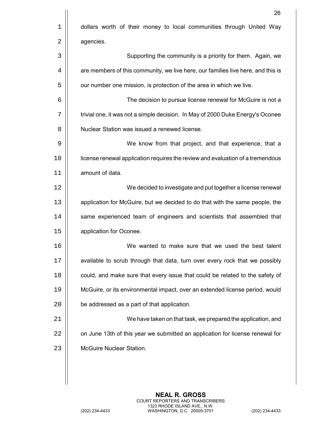|    | 26                                                                               |
|----|----------------------------------------------------------------------------------|
| 1  | dollars worth of their money to local communities through United Way             |
| 2  | agencies.                                                                        |
| 3  | Supporting the community is a priority for them. Again, we                       |
| 4  | are members of this community, we live here, our families live here, and this is |
| 5  | our number one mission, is protection of the area in which we live.              |
| 6  | The decision to pursue license renewal for McGuire is not a                      |
| 7  | trivial one, it was not a simple decision. In May of 2000 Duke Energy's Oconee   |
| 8  | Nuclear Station was issued a renewed license.                                    |
| 9  | We know from that project, and that experience, that a                           |
| 10 | license renewal application requires the review and evaluation of a tremendous   |
| 11 | amount of data.                                                                  |
| 12 | We decided to investigate and put together a license renewal                     |
| 13 | application for McGuire, but we decided to do that with the same people, the     |
| 14 | same experienced team of engineers and scientists that assembled that            |
| 15 | application for Oconee.                                                          |
| 16 | We wanted to make sure that we used the best talent                              |
| 17 | available to scrub through that data, turn over every rock that we possibly      |
| 18 | could, and make sure that every issue that could be related to the safety of     |
| 19 | McGuire, or its environmental impact, over an extended license period, would     |
| 20 | be addressed as a part of that application.                                      |
| 21 | We have taken on that task, we prepared the application, and                     |
| 22 | on June 13th of this year we submitted an application for license renewal for    |
| 23 | <b>McGuire Nuclear Station.</b>                                                  |
|    |                                                                                  |
|    |                                                                                  |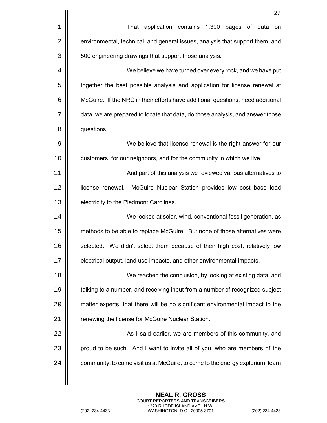|    | 27                                                                              |
|----|---------------------------------------------------------------------------------|
| 1  | That application contains 1,300 pages of data<br>on                             |
| 2  | environmental, technical, and general issues, analysis that support them, and   |
| 3  | 500 engineering drawings that support those analysis.                           |
| 4  | We believe we have turned over every rock, and we have put                      |
| 5  | together the best possible analysis and application for license renewal at      |
| 6  | McGuire. If the NRC in their efforts have additional questions, need additional |
| 7  | data, we are prepared to locate that data, do those analysis, and answer those  |
| 8  | questions.                                                                      |
| 9  | We believe that license renewal is the right answer for our                     |
| 10 | customers, for our neighbors, and for the community in which we live.           |
| 11 | And part of this analysis we reviewed various alternatives to                   |
| 12 | license renewal. McGuire Nuclear Station provides low cost base load            |
| 13 | electricity to the Piedmont Carolinas.                                          |
| 14 | We looked at solar, wind, conventional fossil generation, as                    |
| 15 | methods to be able to replace McGuire. But none of those alternatives were      |
| 16 | selected. We didn't select them because of their high cost, relatively low      |
| 17 | electrical output, land use impacts, and other environmental impacts.           |
| 18 | We reached the conclusion, by looking at existing data, and                     |
| 19 | talking to a number, and receiving input from a number of recognized subject    |
| 20 | matter experts, that there will be no significant environmental impact to the   |
| 21 | renewing the license for McGuire Nuclear Station.                               |
| 22 | As I said earlier, we are members of this community, and                        |
| 23 | proud to be such. And I want to invite all of you, who are members of the       |
| 24 | community, to come visit us at McGuire, to come to the energy explorium, learn  |
|    |                                                                                 |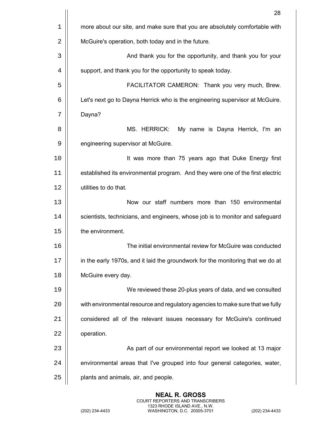|    | 28                                                                              |
|----|---------------------------------------------------------------------------------|
| 1  | more about our site, and make sure that you are absolutely comfortable with     |
| 2  | McGuire's operation, both today and in the future.                              |
| 3  | And thank you for the opportunity, and thank you for your                       |
| 4  | support, and thank you for the opportunity to speak today.                      |
| 5  | FACILITATOR CAMERON: Thank you very much, Brew.                                 |
| 6  | Let's next go to Dayna Herrick who is the engineering supervisor at McGuire.    |
| 7  | Dayna?                                                                          |
| 8  | MS. HERRICK:<br>My name is Dayna Herrick, I'm an                                |
| 9  | engineering supervisor at McGuire.                                              |
| 10 | It was more than 75 years ago that Duke Energy first                            |
| 11 | established its environmental program. And they were one of the first electric  |
| 12 | utilities to do that.                                                           |
| 13 | Now our staff numbers more than 150 environmental                               |
| 14 | scientists, technicians, and engineers, whose job is to monitor and safeguard   |
| 15 | the environment.                                                                |
| 16 | The initial environmental review for McGuire was conducted                      |
| 17 | in the early 1970s, and it laid the groundwork for the monitoring that we do at |
| 18 | McGuire every day.                                                              |
| 19 | We reviewed these 20-plus years of data, and we consulted                       |
| 20 | with environmental resource and regulatory agencies to make sure that we fully  |
| 21 | considered all of the relevant issues necessary for McGuire's continued         |
| 22 | operation.                                                                      |
| 23 | As part of our environmental report we looked at 13 major                       |
| 24 | environmental areas that I've grouped into four general categories, water,      |
| 25 | plants and animals, air, and people.                                            |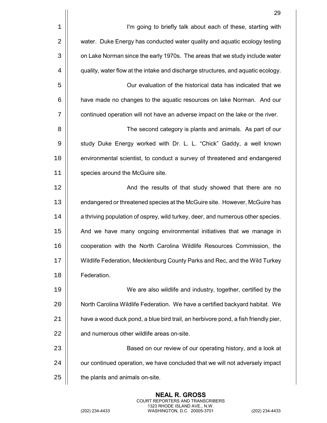|    | 29                                                                                 |
|----|------------------------------------------------------------------------------------|
| 1  | I'm going to briefly talk about each of these, starting with                       |
| 2  | water. Duke Energy has conducted water quality and aquatic ecology testing         |
| 3  | on Lake Norman since the early 1970s. The areas that we study include water        |
| 4  | quality, water flow at the intake and discharge structures, and aquatic ecology.   |
| 5  | Our evaluation of the historical data has indicated that we                        |
| 6  | have made no changes to the aquatic resources on lake Norman. And our              |
| 7  | continued operation will not have an adverse impact on the lake or the river.      |
| 8  | The second category is plants and animals. As part of our                          |
| 9  | study Duke Energy worked with Dr. L. L. "Chick" Gaddy, a well known                |
| 10 | environmental scientist, to conduct a survey of threatened and endangered          |
| 11 | species around the McGuire site.                                                   |
| 12 | And the results of that study showed that there are no                             |
| 13 | endangered or threatened species at the McGuire site. However, McGuire has         |
| 14 | a thriving population of osprey, wild turkey, deer, and numerous other species.    |
| 15 | And we have many ongoing environmental initiatives that we manage in               |
| 16 | cooperation with the North Carolina Wildlife Resources Commission, the             |
| 17 | Wildlife Federation, Mecklenburg County Parks and Rec, and the Wild Turkey         |
| 18 | Federation.                                                                        |
| 19 | We are also wildlife and industry, together, certified by the                      |
| 20 | North Carolina Wildlife Federation. We have a certified backyard habitat. We       |
| 21 | have a wood duck pond, a blue bird trail, an herbivore pond, a fish friendly pier, |
| 22 | and numerous other wildlife areas on-site.                                         |
| 23 | Based on our review of our operating history, and a look at                        |
| 24 | our continued operation, we have concluded that we will not adversely impact       |
| 25 | the plants and animals on-site.                                                    |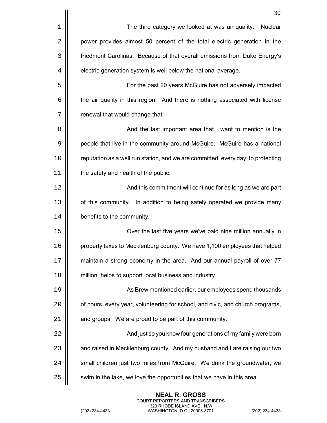|    | 30                                                                               |
|----|----------------------------------------------------------------------------------|
| 1  | The third category we looked at was air quality. Nuclear                         |
| 2  | power provides almost 50 percent of the total electric generation in the         |
| 3  | Piedmont Carolinas. Because of that overall emissions from Duke Energy's         |
| 4  | electric generation system is well below the national average.                   |
| 5  | For the past 20 years McGuire has not adversely impacted                         |
| 6  | the air quality in this region. And there is nothing associated with license     |
| 7  | renewal that would change that.                                                  |
| 8  | And the last important area that I want to mention is the                        |
| 9  | people that live in the community around McGuire. McGuire has a national         |
| 10 | reputation as a well run station, and we are committed, every day, to protecting |
| 11 | the safety and health of the public.                                             |
| 12 | And this commitment will continue for as long as we are part                     |
| 13 | of this community. In addition to being safely operated we provide many          |
| 14 | benefits to the community.                                                       |
| 15 | Over the last five years we've paid nine million annually in                     |
| 16 | property taxes to Mecklenburg county. We have 1,100 employees that helped        |
| 17 | maintain a strong economy in the area. And our annual payroll of over 77         |
| 18 | million, helps to support local business and industry.                           |
| 19 | As Brew mentioned earlier, our employees spend thousands                         |
| 20 | of hours, every year, volunteering for school, and civic, and church programs,   |
| 21 | and groups. We are proud to be part of this community.                           |
| 22 | And just so you know four generations of my family were born                     |
| 23 | and raised in Mecklenburg county. And my husband and I are raising our two       |
| 24 | small children just two miles from McGuire. We drink the groundwater, we         |
| 25 | swim in the lake, we love the opportunities that we have in this area.           |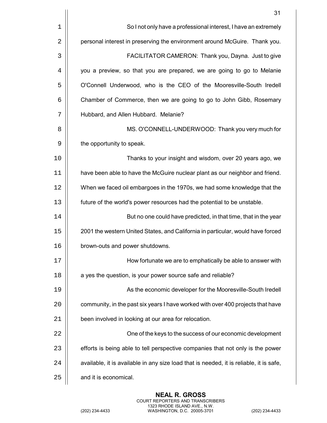|             | 31                                                                                      |
|-------------|-----------------------------------------------------------------------------------------|
| $\mathbf 1$ | So I not only have a professional interest, I have an extremely                         |
| 2           | personal interest in preserving the environment around McGuire. Thank you.              |
| 3           | FACILITATOR CAMERON: Thank you, Dayna. Just to give                                     |
| 4           | you a preview, so that you are prepared, we are going to go to Melanie                  |
| 5           | O'Connell Underwood, who is the CEO of the Mooresville-South Iredell                    |
| 6           | Chamber of Commerce, then we are going to go to John Gibb, Rosemary                     |
| 7           | Hubbard, and Allen Hubbard. Melanie?                                                    |
| 8           | MS. O'CONNELL-UNDERWOOD: Thank you very much for                                        |
| 9           | the opportunity to speak.                                                               |
| 10          | Thanks to your insight and wisdom, over 20 years ago, we                                |
| 11          | have been able to have the McGuire nuclear plant as our neighbor and friend.            |
| 12          | When we faced oil embargoes in the 1970s, we had some knowledge that the                |
| 13          | future of the world's power resources had the potential to be unstable.                 |
| 14          | But no one could have predicted, in that time, that in the year                         |
| 15          | 2001 the western United States, and California in particular, would have forced         |
| 16          | brown-outs and power shutdowns                                                          |
| 17          | How fortunate we are to emphatically be able to answer with                             |
| 18          | a yes the question, is your power source safe and reliable?                             |
| 19          | As the economic developer for the Mooresville-South Iredell                             |
| 20          | community, in the past six years I have worked with over 400 projects that have         |
| 21          | been involved in looking at our area for relocation.                                    |
| 22          | One of the keys to the success of our economic development                              |
| 23          | efforts is being able to tell perspective companies that not only is the power          |
| 24          | available, it is available in any size load that is needed, it is reliable, it is safe, |
| 25          | and it is economical.                                                                   |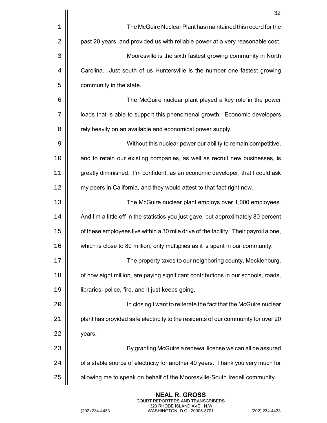|    | 32                                                                                   |
|----|--------------------------------------------------------------------------------------|
| 1  | The McGuire Nuclear Plant has maintained this record for the                         |
| 2  | past 20 years, and provided us with reliable power at a very reasonable cost.        |
| 3  | Mooresville is the sixth fastest growing community in North                          |
| 4  | Carolina. Just south of us Huntersville is the number one fastest growing            |
| 5  | community in the state.                                                              |
| 6  | The McGuire nuclear plant played a key role in the power                             |
| 7  | loads that is able to support this phenomenal growth. Economic developers            |
| 8  | rely heavily on an available and economical power supply.                            |
| 9  | Without this nuclear power our ability to remain competitive,                        |
| 10 | and to retain our existing companies, as well as recruit new businesses, is          |
| 11 | greatly diminished. I'm confident, as an economic developer, that I could ask        |
| 12 | my peers in California, and they would attest to that fact right now.                |
| 13 | The McGuire nuclear plant employs over 1,000 employees.                              |
| 14 | And I'm a little off in the statistics you just gave, but approximately 80 percent   |
| 15 | of these employees live within a 30 mile drive of the facility. Their payroll alone, |
| 16 | which is close to 80 million, only multiplies as it is spent in our community.       |
| 17 | The property taxes to our neighboring county, Mecklenburg,                           |
| 18 | of now eight million, are paying significant contributions in our schools, roads,    |
| 19 | libraries, police, fire, and it just keeps going.                                    |
| 20 | In closing I want to reiterate the fact that the McGuire nuclear                     |
| 21 | plant has provided safe electricity to the residents of our community for over 20    |
| 22 | years.                                                                               |
| 23 | By granting McGuire a renewal license we can all be assured                          |
| 24 | of a stable source of electricity for another 40 years. Thank you very much for      |
| 25 | allowing me to speak on behalf of the Mooresville-South Iredell community.           |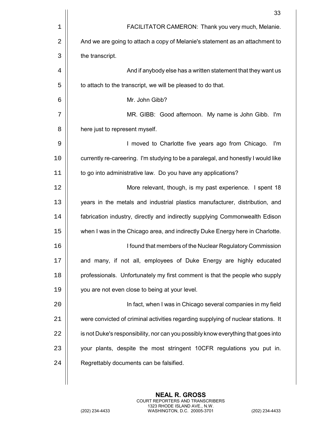|    | 33                                                                                |
|----|-----------------------------------------------------------------------------------|
| 1  | FACILITATOR CAMERON: Thank you very much, Melanie.                                |
| 2  | And we are going to attach a copy of Melanie's statement as an attachment to      |
| 3  | the transcript.                                                                   |
| 4  | And if anybody else has a written statement that they want us                     |
| 5  | to attach to the transcript, we will be pleased to do that.                       |
| 6  | Mr. John Gibb?                                                                    |
| 7  | MR. GIBB: Good afternoon. My name is John Gibb. I'm                               |
| 8  | here just to represent myself.                                                    |
| 9  | I moved to Charlotte five years ago from Chicago.<br>l'm                          |
| 10 | currently re-careering. I'm studying to be a paralegal, and honestly I would like |
| 11 | to go into administrative law. Do you have any applications?                      |
| 12 | More relevant, though, is my past experience. I spent 18                          |
| 13 | years in the metals and industrial plastics manufacturer, distribution, and       |
| 14 | fabrication industry, directly and indirectly supplying Commonwealth Edison       |
| 15 | when I was in the Chicago area, and indirectly Duke Energy here in Charlotte.     |
| 16 | I found that members of the Nuclear Regulatory Commission                         |
| 17 | and many, if not all, employees of Duke Energy are highly educated                |
| 18 | professionals. Unfortunately my first comment is that the people who supply       |
| 19 | you are not even close to being at your level.                                    |
| 20 | In fact, when I was in Chicago several companies in my field                      |
| 21 | were convicted of criminal activities regarding supplying of nuclear stations. It |
| 22 | is not Duke's responsibility, nor can you possibly know everything that goes into |
| 23 | your plants, despite the most stringent 10CFR regulations you put in.             |
| 24 | Regrettably documents can be falsified.                                           |
|    |                                                                                   |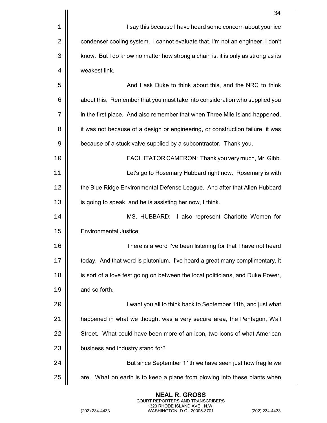|    | 34                                                                               |
|----|----------------------------------------------------------------------------------|
| 1  | I say this because I have heard some concern about your ice                      |
| 2  | condenser cooling system. I cannot evaluate that, I'm not an engineer, I don't   |
| 3  | know. But I do know no matter how strong a chain is, it is only as strong as its |
| 4  | weakest link.                                                                    |
| 5  | And I ask Duke to think about this, and the NRC to think                         |
| 6  | about this. Remember that you must take into consideration who supplied you      |
| 7  | in the first place. And also remember that when Three Mile Island happened,      |
| 8  | it was not because of a design or engineering, or construction failure, it was   |
| 9  | because of a stuck valve supplied by a subcontractor. Thank you.                 |
| 10 | FACILITATOR CAMERON: Thank you very much, Mr. Gibb.                              |
| 11 | Let's go to Rosemary Hubbard right now. Rosemary is with                         |
| 12 | the Blue Ridge Environmental Defense League. And after that Allen Hubbard        |
| 13 | is going to speak, and he is assisting her now, I think.                         |
| 14 | MS. HUBBARD: I also represent Charlotte Women for                                |
| 15 | Environmental Justice.                                                           |
| 16 | There is a word I've been listening for that I have not heard                    |
| 17 | today. And that word is plutonium. I've heard a great many complimentary, it     |
| 18 | is sort of a love fest going on between the local politicians, and Duke Power,   |
| 19 | and so forth.                                                                    |
| 20 | I want you all to think back to September 11th, and just what                    |
| 21 | happened in what we thought was a very secure area, the Pentagon, Wall           |
| 22 | Street. What could have been more of an icon, two icons of what American         |
| 23 | business and industry stand for?                                                 |
| 24 | But since September 11th we have seen just how fragile we                        |
| 25 | are. What on earth is to keep a plane from plowing into these plants when        |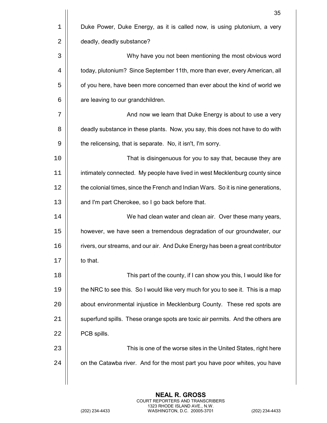|    | 35                                                                               |
|----|----------------------------------------------------------------------------------|
| 1  | Duke Power, Duke Energy, as it is called now, is using plutonium, a very         |
| 2  | deadly, deadly substance?                                                        |
| 3  | Why have you not been mentioning the most obvious word                           |
| 4  | today, plutonium? Since September 11th, more than ever, every American, all      |
| 5  | of you here, have been more concerned than ever about the kind of world we       |
| 6  | are leaving to our grandchildren.                                                |
| 7  | And now we learn that Duke Energy is about to use a very                         |
| 8  | deadly substance in these plants. Now, you say, this does not have to do with    |
| 9  | the relicensing, that is separate. No, it isn't, I'm sorry.                      |
| 10 | That is disingenuous for you to say that, because they are                       |
| 11 | intimately connected. My people have lived in west Mecklenburg county since      |
| 12 | the colonial times, since the French and Indian Wars. So it is nine generations, |
| 13 | and I'm part Cherokee, so I go back before that.                                 |
| 14 | We had clean water and clean air. Over these many years,                         |
| 15 | however, we have seen a tremendous degradation of our groundwater, our           |
| 16 | rivers, our streams, and our air. And Duke Energy has been a great contributor   |
| 17 | to that.                                                                         |
| 18 | This part of the county, if I can show you this, I would like for                |
| 19 | the NRC to see this. So I would like very much for you to see it. This is a map  |
| 20 | about environmental injustice in Mecklenburg County. These red spots are         |
| 21 | superfund spills. These orange spots are toxic air permits. And the others are   |
| 22 | PCB spills.                                                                      |
| 23 | This is one of the worse sites in the United States, right here                  |
| 24 | on the Catawba river. And for the most part you have poor whites, you have       |
|    |                                                                                  |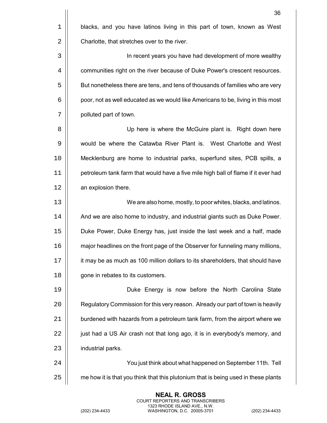|    | 36                                                                                 |
|----|------------------------------------------------------------------------------------|
| 1  | blacks, and you have latinos living in this part of town, known as West            |
| 2  | Charlotte, that stretches over to the river.                                       |
| 3  | In recent years you have had development of more wealthy                           |
| 4  | communities right on the river because of Duke Power's crescent resources.         |
| 5  | But nonetheless there are tens, and tens of thousands of families who are very     |
| 6  | poor, not as well educated as we would like Americans to be, living in this most   |
| 7  | polluted part of town.                                                             |
| 8  | Up here is where the McGuire plant is. Right down here                             |
| 9  | would be where the Catawba River Plant is. West Charlotte and West                 |
| 10 | Mecklenburg are home to industrial parks, superfund sites, PCB spills, a           |
| 11 | petroleum tank farm that would have a five mile high ball of flame if it ever had  |
| 12 | an explosion there.                                                                |
| 13 | We are also home, mostly, to poor whites, blacks, and latinos.                     |
| 14 | And we are also home to industry, and industrial giants such as Duke Power.        |
| 15 | Duke Power, Duke Energy has, just inside the last week and a half, made            |
| 16 | major headlines on the front page of the Observer for funneling many millions,     |
| 17 | it may be as much as 100 million dollars to its shareholders, that should have     |
| 18 | gone in rebates to its customers.                                                  |
| 19 | Duke Energy is now before the North Carolina State                                 |
| 20 | Regulatory Commission for this very reason. Already our part of town is heavily    |
| 21 | burdened with hazards from a petroleum tank farm, from the airport where we        |
| 22 | just had a US Air crash not that long ago, it is in everybody's memory, and        |
| 23 | industrial parks.                                                                  |
| 24 | You just think about what happened on September 11th. Tell                         |
| 25 | me how it is that you think that this plutonium that is being used in these plants |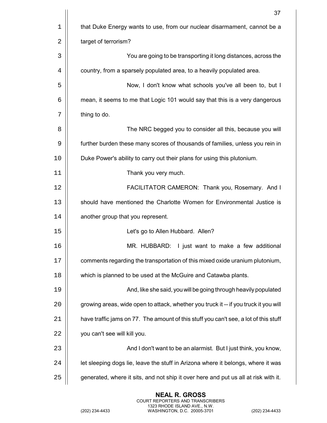|             | 37                                                                                   |
|-------------|--------------------------------------------------------------------------------------|
| $\mathbf 1$ | that Duke Energy wants to use, from our nuclear disarmament, cannot be a             |
| 2           | target of terrorism?                                                                 |
| 3           | You are going to be transporting it long distances, across the                       |
| 4           | country, from a sparsely populated area, to a heavily populated area.                |
| 5           | Now, I don't know what schools you've all been to, but I                             |
| 6           | mean, it seems to me that Logic 101 would say that this is a very dangerous          |
| 7           | thing to do.                                                                         |
| 8           | The NRC begged you to consider all this, because you will                            |
| 9           | further burden these many scores of thousands of families, unless you rein in        |
| 10          | Duke Power's ability to carry out their plans for using this plutonium.              |
| 11          | Thank you very much.                                                                 |
| 12          | FACILITATOR CAMERON: Thank you, Rosemary. And I                                      |
| 13          | should have mentioned the Charlotte Women for Environmental Justice is               |
| 14          | another group that you represent.                                                    |
| 15          | Let's go to Allen Hubbard. Allen?                                                    |
| 16          | MR. HUBBARD: I just want to make a few additional                                    |
| 17          | comments regarding the transportation of this mixed oxide uranium plutonium,         |
| 18          | which is planned to be used at the McGuire and Catawba plants.                       |
| 19          | And, like she said, you will be going through heavily populated                      |
| 20          | growing areas, wide open to attack, whether you truck it -- if you truck it you will |
| 21          | have traffic jams on 77. The amount of this stuff you can't see, a lot of this stuff |
| 22          | you can't see will kill you.                                                         |
| 23          | And I don't want to be an alarmist. But I just think, you know,                      |
| 24          | let sleeping dogs lie, leave the stuff in Arizona where it belongs, where it was     |
| 25          | generated, where it sits, and not ship it over here and put us all at risk with it.  |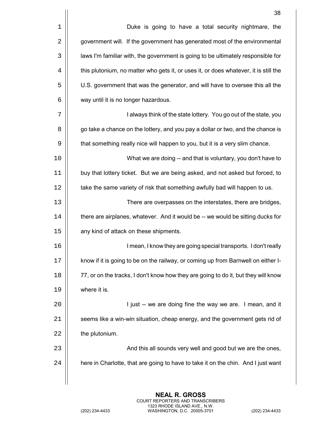|    | 38                                                                                   |
|----|--------------------------------------------------------------------------------------|
| 1  | Duke is going to have a total security nightmare, the                                |
| 2  | government will. If the government has generated most of the environmental           |
| 3  | laws I'm familiar with, the government is going to be ultimately responsible for     |
| 4  | this plutonium, no matter who gets it, or uses it, or does whatever, it is still the |
| 5  | U.S. government that was the generator, and will have to oversee this all the        |
| 6  | way until it is no longer hazardous.                                                 |
| 7  | I always think of the state lottery. You go out of the state, you                    |
| 8  | go take a chance on the lottery, and you pay a dollar or two, and the chance is      |
| 9  | that something really nice will happen to you, but it is a very slim chance.         |
| 10 | What we are doing -- and that is voluntary, you don't have to                        |
| 11 | buy that lottery ticket. But we are being asked, and not asked but forced, to        |
| 12 | take the same variety of risk that something awfully bad will happen to us.          |
| 13 | There are overpasses on the interstates, there are bridges,                          |
| 14 | there are airplanes, whatever. And it would be -- we would be sitting ducks for      |
| 15 | any kind of attack on these shipments.                                               |
| 16 | I mean, I know they are going special transports. I don't really                     |
| 17 | know if it is going to be on the railway, or coming up from Barnwell on either I-    |
| 18 | 77, or on the tracks, I don't know how they are going to do it, but they will know   |
| 19 | where it is.                                                                         |
| 20 | I just -- we are doing fine the way we are. I mean, and it                           |
| 21 | seems like a win-win situation, cheap energy, and the government gets rid of         |
| 22 | the plutonium.                                                                       |
| 23 | And this all sounds very well and good but we are the ones,                          |
| 24 | here in Charlotte, that are going to have to take it on the chin. And I just want    |
|    |                                                                                      |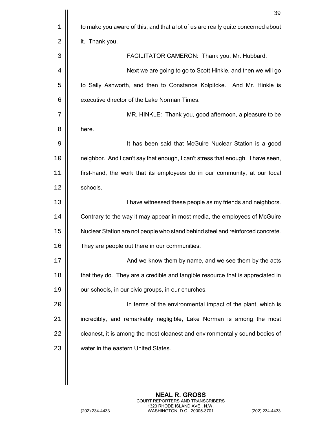|    | 39                                                                               |
|----|----------------------------------------------------------------------------------|
| 1  | to make you aware of this, and that a lot of us are really quite concerned about |
| 2  | it. Thank you.                                                                   |
| 3  | FACILITATOR CAMERON: Thank you, Mr. Hubbard.                                     |
| 4  | Next we are going to go to Scott Hinkle, and then we will go                     |
| 5  | to Sally Ashworth, and then to Constance Kolpitcke. And Mr. Hinkle is            |
| 6  | executive director of the Lake Norman Times.                                     |
| 7  | MR. HINKLE: Thank you, good afternoon, a pleasure to be                          |
| 8  | here.                                                                            |
| 9  | It has been said that McGuire Nuclear Station is a good                          |
| 10 | neighbor. And I can't say that enough, I can't stress that enough. I have seen,  |
| 11 | first-hand, the work that its employees do in our community, at our local        |
| 12 | schools.                                                                         |
| 13 | I have witnessed these people as my friends and neighbors.                       |
| 14 | Contrary to the way it may appear in most media, the employees of McGuire        |
| 15 | Nuclear Station are not people who stand behind steel and reinforced concrete.   |
| 16 | They are people out there in our communities                                     |
| 17 | And we know them by name, and we see them by the acts                            |
| 18 | that they do. They are a credible and tangible resource that is appreciated in   |
| 19 | our schools, in our civic groups, in our churches.                               |
| 20 | In terms of the environmental impact of the plant, which is                      |
| 21 | incredibly, and remarkably negligible, Lake Norman is among the most             |
| 22 | cleanest, it is among the most cleanest and environmentally sound bodies of      |
| 23 | water in the eastern United States.                                              |
|    |                                                                                  |
|    |                                                                                  |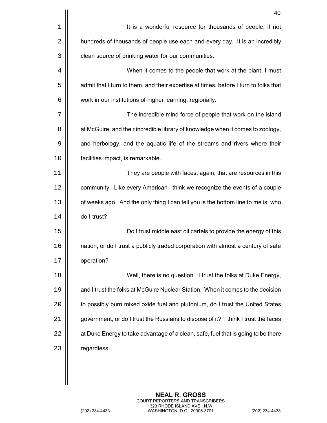|    | 40                                                                                   |
|----|--------------------------------------------------------------------------------------|
| 1  | It is a wonderful resource for thousands of people, if not                           |
| 2  | hundreds of thousands of people use each and every day. It is an incredibly          |
| 3  | clean source of drinking water for our communities.                                  |
| 4  | When it comes to the people that work at the plant, I must                           |
| 5  | admit that I turn to them, and their expertise at times, before I turn to folks that |
| 6  | work in our institutions of higher learning, regionally.                             |
| 7  | The incredible mind force of people that work on the island                          |
| 8  | at McGuire, and their incredible library of knowledge when it comes to zoology,      |
| 9  | and herbology, and the aquatic life of the streams and rivers where their            |
| 10 | facilities impact, is remarkable.                                                    |
| 11 | They are people with faces, again, that are resources in this                        |
| 12 | community. Like every American I think we recognize the events of a couple           |
| 13 | of weeks ago. And the only thing I can tell you is the bottom line to me is, who     |
| 14 | do I trust?                                                                          |
| 15 | Do I trust middle east oil cartels to provide the energy of this                     |
| 16 | nation, or do I trust a publicly traded corporation with almost a century of safe    |
| 17 | operation?                                                                           |
| 18 | Well, there is no question. I trust the folks at Duke Energy,                        |
| 19 | and I trust the folks at McGuire Nuclear Station. When it comes to the decision      |
| 20 | to possibly burn mixed oxide fuel and plutonium, do I trust the United States        |
| 21 | government, or do I trust the Russians to dispose of it? I think I trust the faces   |
| 22 | at Duke Energy to take advantage of a clean, safe, fuel that is going to be there    |
| 23 | regardless.                                                                          |
|    |                                                                                      |
|    |                                                                                      |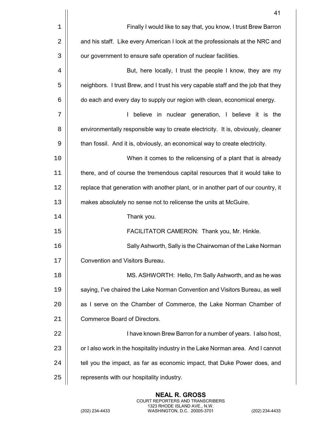|    | 41                                                                                |
|----|-----------------------------------------------------------------------------------|
| 1  | Finally I would like to say that, you know, I trust Brew Barron                   |
| 2  | and his staff. Like every American I look at the professionals at the NRC and     |
| 3  | our government to ensure safe operation of nuclear facilities.                    |
| 4  | But, here locally, I trust the people I know, they are my                         |
| 5  | neighbors. I trust Brew, and I trust his very capable staff and the job that they |
| 6  | do each and every day to supply our region with clean, economical energy.         |
| 7  | believe in nuclear generation, I believe it is the                                |
| 8  | environmentally responsible way to create electricity. It is, obviously, cleaner  |
| 9  | than fossil. And it is, obviously, an economical way to create electricity.       |
| 10 | When it comes to the relicensing of a plant that is already                       |
| 11 | there, and of course the tremendous capital resources that it would take to       |
| 12 | replace that generation with another plant, or in another part of our country, it |
| 13 | makes absolutely no sense not to relicense the units at McGuire.                  |
| 14 | Thank you.                                                                        |
| 15 | FACILITATOR CAMERON: Thank you, Mr. Hinkle.                                       |
| 16 | Sally Ashworth, Sally is the Chairwoman of the Lake Norman                        |
| 17 | Convention and Visitors Bureau.                                                   |
| 18 | MS. ASHWORTH: Hello, I'm Sally Ashworth, and as he was                            |
| 19 | saying, I've chaired the Lake Norman Convention and Visitors Bureau, as well      |
| 20 | as I serve on the Chamber of Commerce, the Lake Norman Chamber of                 |
| 21 | Commerce Board of Directors.                                                      |
| 22 | I have known Brew Barron for a number of years. I also host,                      |
| 23 | or I also work in the hospitality industry in the Lake Norman area. And I cannot  |
| 24 | tell you the impact, as far as economic impact, that Duke Power does, and         |
| 25 | represents with our hospitality industry.                                         |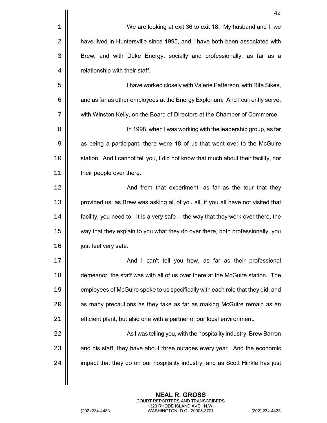|    | 42                                                                                 |
|----|------------------------------------------------------------------------------------|
| 1  | We are looking at exit 36 to exit 18. My husband and I, we                         |
| 2  | have lived in Huntersville since 1995, and I have both been associated with        |
| 3  | Brew, and with Duke Energy, socially and professionally, as far as a               |
| 4  | relationship with their staff.                                                     |
| 5  | I have worked closely with Valerie Patterson, with Rita Sikes,                     |
| 6  | and as far as other employees at the Energy Explorium. And I currently serve,      |
| 7  | with Winston Kelly, on the Board of Directors at the Chamber of Commerce.          |
| 8  | In 1998, when I was working with the leadership group, as far                      |
| 9  | as being a participant, there were 18 of us that went over to the McGuire          |
| 10 | station. And I cannot tell you, I did not know that much about their facility, nor |
| 11 | their people over there.                                                           |
| 12 | And from that experiment, as far as the tour that they                             |
| 13 | provided us, as Brew was asking all of you all, if you all have not visited that   |
| 14 | facility, you need to. It is a very safe -- the way that they work over there, the |
| 15 | way that they explain to you what they do over there, both professionally, you     |
| 16 | just feel very safe.                                                               |
| 17 | And I can't tell you how, as far as their professional                             |
| 18 | demeanor, the staff was with all of us over there at the McGuire station. The      |
| 19 | employees of McGuire spoke to us specifically with each role that they did, and    |
| 20 | as many precautions as they take as far as making McGuire remain as an             |
| 21 | efficient plant, but also one with a partner of our local environment.             |
| 22 | As I was telling you, with the hospitality industry, Brew Barron                   |
| 23 | and his staff, they have about three outages every year. And the economic          |
| 24 | impact that they do on our hospitality industry, and as Scott Hinkle has just      |
|    |                                                                                    |

**NEAL R. GROSS**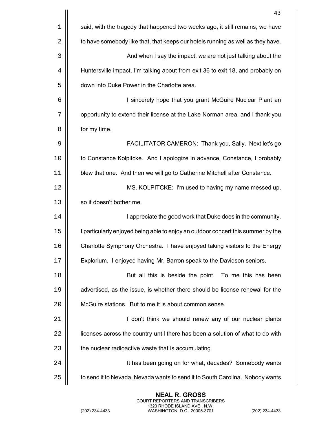|             | 43                                                                               |
|-------------|----------------------------------------------------------------------------------|
| $\mathbf 1$ | said, with the tragedy that happened two weeks ago, it still remains, we have    |
| 2           | to have somebody like that, that keeps our hotels running as well as they have.  |
| 3           | And when I say the impact, we are not just talking about the                     |
| 4           | Huntersville impact, I'm talking about from exit 36 to exit 18, and probably on  |
| 5           | down into Duke Power in the Charlotte area.                                      |
| 6           | I sincerely hope that you grant McGuire Nuclear Plant an                         |
| 7           | opportunity to extend their license at the Lake Norman area, and I thank you     |
| 8           | for my time.                                                                     |
| 9           | FACILITATOR CAMERON: Thank you, Sally. Next let's go                             |
| 10          | to Constance Kolpitcke. And I apologize in advance, Constance, I probably        |
| 11          | blew that one. And then we will go to Catherine Mitchell after Constance.        |
| 12          | MS. KOLPITCKE: I'm used to having my name messed up,                             |
| 13          | so it doesn't bother me.                                                         |
| 14          | I appreciate the good work that Duke does in the community.                      |
| 15          | I particularly enjoyed being able to enjoy an outdoor concert this summer by the |
| 16          | Charlotte Symphony Orchestra. I have enjoyed taking visitors to the Energy       |
| 17          | Explorium. I enjoyed having Mr. Barron speak to the Davidson seniors.            |
| 18          | But all this is beside the point. To me this has been                            |
| 19          | advertised, as the issue, is whether there should be license renewal for the     |
| 20          | McGuire stations. But to me it is about common sense.                            |
| 21          | I don't think we should renew any of our nuclear plants                          |
| 22          | licenses across the country until there has been a solution of what to do with   |
| 23          | the nuclear radioactive waste that is accumulating.                              |
| 24          | It has been going on for what, decades? Somebody wants                           |
| 25          | to send it to Nevada, Nevada wants to send it to South Carolina. Nobody wants    |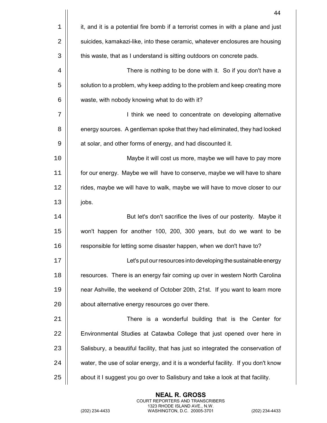|             | 44                                                                                |
|-------------|-----------------------------------------------------------------------------------|
| $\mathbf 1$ | it, and it is a potential fire bomb if a terrorist comes in with a plane and just |
| 2           | suicides, kamakazi-like, into these ceramic, whatever enclosures are housing      |
| 3           | this waste, that as I understand is sitting outdoors on concrete pads.            |
| 4           | There is nothing to be done with it. So if you don't have a                       |
| 5           | solution to a problem, why keep adding to the problem and keep creating more      |
| 6           | waste, with nobody knowing what to do with it?                                    |
| 7           | I think we need to concentrate on developing alternative                          |
| 8           | energy sources. A gentleman spoke that they had eliminated, they had looked       |
| 9           | at solar, and other forms of energy, and had discounted it.                       |
| 10          | Maybe it will cost us more, maybe we will have to pay more                        |
| 11          | for our energy. Maybe we will have to conserve, maybe we will have to share       |
| 12          | rides, maybe we will have to walk, maybe we will have to move closer to our       |
| 13          | jobs.                                                                             |
| 14          | But let's don't sacrifice the lives of our posterity. Maybe it                    |
| 15          | won't happen for another 100, 200, 300 years, but do we want to be                |
| 16          | responsible for letting some disaster happen, when we don't have to?              |
| 17          | Let's put our resources into developing the sustainable energy                    |
| 18          | resources. There is an energy fair coming up over in western North Carolina       |
| 19          | near Ashville, the weekend of October 20th, 21st. If you want to learn more       |
| 20          | about alternative energy resources go over there.                                 |
| 21          | There is a wonderful building that is the Center for                              |
| 22          | Environmental Studies at Catawba College that just opened over here in            |
| 23          | Salisbury, a beautiful facility, that has just so integrated the conservation of  |
| 24          | water, the use of solar energy, and it is a wonderful facility. If you don't know |
| 25          | about it I suggest you go over to Salisbury and take a look at that facility.     |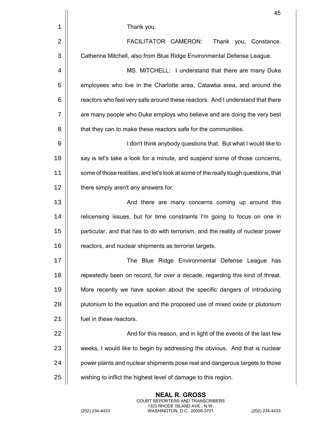|    | 45                                                                                  |
|----|-------------------------------------------------------------------------------------|
| 1  | Thank you.                                                                          |
| 2  | FACILITATOR CAMERON:<br>Thank you, Constance.                                       |
| 3  | Catherine Mitchell, also from Blue Ridge Environmental Defense League.              |
| 4  | MS. MITCHELL: I understand that there are many Duke                                 |
| 5  | employees who live in the Charlotte area, Catawba area, and around the              |
| 6  | reactors who feel very safe around these reactors. And I understand that there      |
| 7  | are many people who Duke employs who believe and are doing the very best            |
| 8  | that they can to make these reactors safe for the communities.                      |
| 9  | I don't think anybody questions that. But what I would like to                      |
| 10 | say is let's take a look for a minute, and suspend some of those concerns,          |
| 11 | some of those realities, and let's look at some of the really tough questions, that |
| 12 | there simply aren't any answers for.                                                |
| 13 | And there are many concerns coming up around this                                   |
| 14 | relicensing issues, but for time constraints I'm going to focus on one in           |
| 15 | particular, and that has to do with terrorism, and the reality of nuclear power     |
| 16 | reactors, and nuclear shipments as terrorist targets.                               |
| 17 | The Blue Ridge Environmental Defense League has                                     |
| 18 | repeatedly been on record, for over a decade, regarding this kind of threat.        |
| 19 | More recently we have spoken about the specific dangers of introducing              |
| 20 | plutonium to the equation and the proposed use of mixed oxide or plutonium          |
| 21 | fuel in these reactors.                                                             |
| 22 | And for this reason, and in light of the events of the last few                     |
| 23 | weeks, I would like to begin by addressing the obvious. And that is nuclear         |
| 24 | power plants and nuclear shipments pose real and dangerous targets to those         |
| 25 | wishing to inflict the highest level of damage to this region.                      |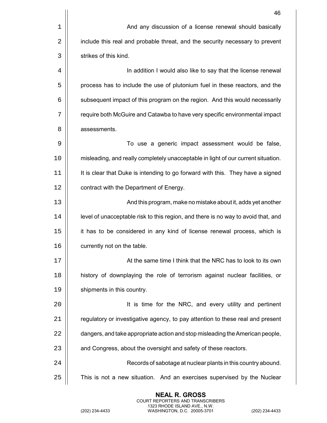|    | 46                                                                                |
|----|-----------------------------------------------------------------------------------|
| 1  | And any discussion of a license renewal should basically                          |
| 2  | include this real and probable threat, and the security necessary to prevent      |
| 3  | strikes of this kind.                                                             |
| 4  | In addition I would also like to say that the license renewal                     |
| 5  | process has to include the use of plutonium fuel in these reactors, and the       |
| 6  | subsequent impact of this program on the region. And this would necessarily       |
| 7  | require both McGuire and Catawba to have very specific environmental impact       |
| 8  | assessments.                                                                      |
| 9  | To use a generic impact assessment would be false,                                |
| 10 | misleading, and really completely unacceptable in light of our current situation. |
| 11 | It is clear that Duke is intending to go forward with this. They have a signed    |
| 12 | contract with the Department of Energy.                                           |
| 13 | And this program, make no mistake about it, adds yet another                      |
| 14 | level of unacceptable risk to this region, and there is no way to avoid that, and |
| 15 | it has to be considered in any kind of license renewal process, which is          |
| 16 | currently not on the table                                                        |
| 17 | At the same time I think that the NRC has to look to its own                      |
| 18 | history of downplaying the role of terrorism against nuclear facilities, or       |
| 19 | shipments in this country.                                                        |
| 20 | It is time for the NRC, and every utility and pertinent                           |
| 21 | regulatory or investigative agency, to pay attention to these real and present    |
| 22 | dangers, and take appropriate action and stop misleading the American people,     |
| 23 | and Congress, about the oversight and safety of these reactors.                   |
| 24 | Records of sabotage at nuclear plants in this country abound.                     |
| 25 | This is not a new situation. And an exercises supervised by the Nuclear           |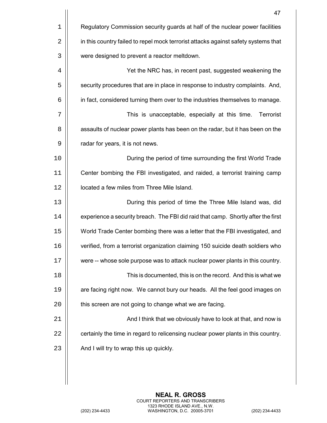|    | 47                                                                                 |
|----|------------------------------------------------------------------------------------|
| 1  | Regulatory Commission security guards at half of the nuclear power facilities      |
| 2  | in this country failed to repel mock terrorist attacks against safety systems that |
| 3  | were designed to prevent a reactor meltdown.                                       |
| 4  | Yet the NRC has, in recent past, suggested weakening the                           |
| 5  | security procedures that are in place in response to industry complaints. And,     |
| 6  | in fact, considered turning them over to the industries themselves to manage.      |
| 7  | This is unacceptable, especially at this time.<br>Terrorist                        |
| 8  | assaults of nuclear power plants has been on the radar, but it has been on the     |
| 9  | radar for years, it is not news.                                                   |
| 10 | During the period of time surrounding the first World Trade                        |
| 11 | Center bombing the FBI investigated, and raided, a terrorist training camp         |
| 12 | located a few miles from Three Mile Island.                                        |
| 13 | During this period of time the Three Mile Island was, did                          |
| 14 | experience a security breach. The FBI did raid that camp. Shortly after the first  |
| 15 | World Trade Center bombing there was a letter that the FBI investigated, and       |
| 16 | verified, from a terrorist organization claiming 150 suicide death soldiers who    |
| 17 | were -- whose sole purpose was to attack nuclear power plants in this country.     |
| 18 | This is documented, this is on the record. And this is what we                     |
| 19 | are facing right now. We cannot bury our heads. All the feel good images on        |
| 20 | this screen are not going to change what we are facing.                            |
| 21 | And I think that we obviously have to look at that, and now is                     |
| 22 | certainly the time in regard to relicensing nuclear power plants in this country.  |
| 23 | And I will try to wrap this up quickly.                                            |
|    |                                                                                    |
|    |                                                                                    |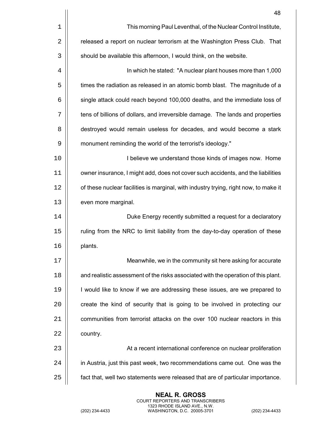|    | 48                                                                                   |
|----|--------------------------------------------------------------------------------------|
| 1  | This morning Paul Leventhal, of the Nuclear Control Institute,                       |
| 2  | released a report on nuclear terrorism at the Washington Press Club. That            |
| 3  | should be available this afternoon, I would think, on the website.                   |
| 4  | In which he stated: "A nuclear plant houses more than 1,000                          |
| 5  | times the radiation as released in an atomic bomb blast. The magnitude of a          |
| 6  | single attack could reach beyond 100,000 deaths, and the immediate loss of           |
| 7  | tens of billions of dollars, and irreversible damage. The lands and properties       |
| 8  | destroyed would remain useless for decades, and would become a stark                 |
| 9  | monument reminding the world of the terrorist's ideology."                           |
| 10 | I believe we understand those kinds of images now. Home                              |
| 11 | owner insurance, I might add, does not cover such accidents, and the liabilities     |
| 12 | of these nuclear facilities is marginal, with industry trying, right now, to make it |
| 13 | even more marginal.                                                                  |
| 14 | Duke Energy recently submitted a request for a declaratory                           |
| 15 | ruling from the NRC to limit liability from the day-to-day operation of these        |
| 16 | plants.                                                                              |
| 17 | Meanwhile, we in the community sit here asking for accurate                          |
| 18 | and realistic assessment of the risks associated with the operation of this plant.   |
| 19 | I would like to know if we are addressing these issues, are we prepared to           |
| 20 | create the kind of security that is going to be involved in protecting our           |
| 21 | communities from terrorist attacks on the over 100 nuclear reactors in this          |
| 22 | country.                                                                             |
| 23 | At a recent international conference on nuclear proliferation                        |
| 24 | in Austria, just this past week, two recommendations came out. One was the           |
| 25 | fact that, well two statements were released that are of particular importance.      |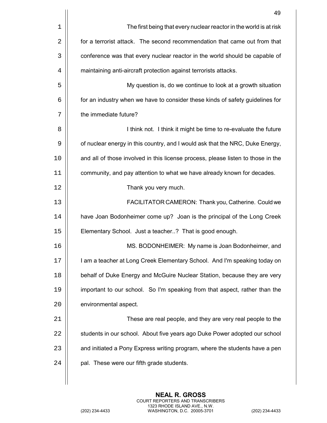|    | 49                                                                               |
|----|----------------------------------------------------------------------------------|
| 1  | The first being that every nuclear reactor in the world is at risk               |
| 2  | for a terrorist attack. The second recommendation that came out from that        |
| 3  | conference was that every nuclear reactor in the world should be capable of      |
| 4  | maintaining anti-aircraft protection against terrorists attacks.                 |
| 5  | My question is, do we continue to look at a growth situation                     |
| 6  | for an industry when we have to consider these kinds of safety guidelines for    |
| 7  | the immediate future?                                                            |
| 8  | I think not. I think it might be time to re-evaluate the future                  |
| 9  | of nuclear energy in this country, and I would ask that the NRC, Duke Energy,    |
| 10 | and all of those involved in this license process, please listen to those in the |
| 11 | community, and pay attention to what we have already known for decades.          |
| 12 | Thank you very much.                                                             |
| 13 | FACILITATOR CAMERON: Thank you, Catherine. Could we                              |
| 14 | have Joan Bodonheimer come up? Joan is the principal of the Long Creek           |
| 15 | Elementary School. Just a teacher? That is good enough.                          |
| 16 | MS. BODONHEIMER: My name is Joan Bodonheimer, and                                |
| 17 | I am a teacher at Long Creek Elementary School. And I'm speaking today on        |
| 18 | behalf of Duke Energy and McGuire Nuclear Station, because they are very         |
| 19 | important to our school. So I'm speaking from that aspect, rather than the       |
| 20 | environmental aspect.                                                            |
| 21 | These are real people, and they are very real people to the                      |
| 22 | students in our school. About five years ago Duke Power adopted our school       |
| 23 | and initiated a Pony Express writing program, where the students have a pen      |
| 24 | pal. These were our fifth grade students.                                        |
|    |                                                                                  |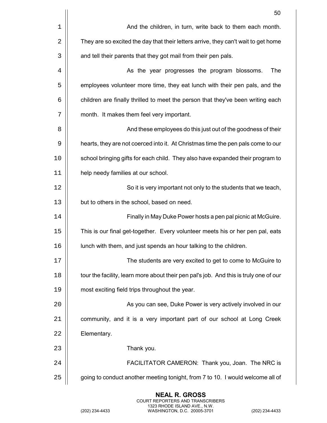|    | 50                                                                                    |
|----|---------------------------------------------------------------------------------------|
| 1  | And the children, in turn, write back to them each month.                             |
| 2  | They are so excited the day that their letters arrive, they can't wait to get home    |
| 3  | and tell their parents that they got mail from their pen pals.                        |
| 4  | As the year progresses the program blossoms.<br>The                                   |
| 5  | employees volunteer more time, they eat lunch with their pen pals, and the            |
| 6  | children are finally thrilled to meet the person that they've been writing each       |
| 7  | month. It makes them feel very important.                                             |
| 8  | And these employees do this just out of the goodness of their                         |
| 9  | hearts, they are not coerced into it. At Christmas time the pen pals come to our      |
| 10 | school bringing gifts for each child. They also have expanded their program to        |
| 11 | help needy families at our school.                                                    |
| 12 | So it is very important not only to the students that we teach,                       |
| 13 | but to others in the school, based on need.                                           |
| 14 | Finally in May Duke Power hosts a pen pal picnic at McGuire.                          |
| 15 | This is our final get-together. Every volunteer meets his or her pen pal, eats        |
| 16 | lunch with them, and just spends an hour talking to the children.                     |
| 17 | The students are very excited to get to come to McGuire to                            |
| 18 | tour the facility, learn more about their pen pal's job. And this is truly one of our |
| 19 | most exciting field trips throughout the year.                                        |
| 20 | As you can see, Duke Power is very actively involved in our                           |
| 21 | community, and it is a very important part of our school at Long Creek                |
| 22 | Elementary.                                                                           |
| 23 | Thank you.                                                                            |
| 24 | FACILITATOR CAMERON: Thank you, Joan. The NRC is                                      |
| 25 | going to conduct another meeting tonight, from 7 to 10. I would welcome all of        |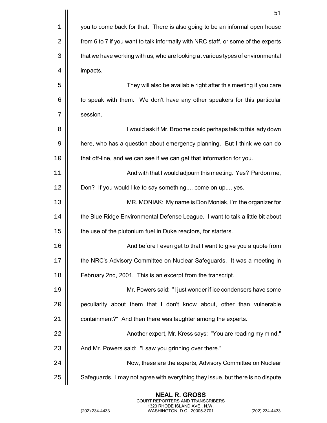|    | 51                                                                                |
|----|-----------------------------------------------------------------------------------|
| 1  | you to come back for that. There is also going to be an informal open house       |
| 2  | from 6 to 7 if you want to talk informally with NRC staff, or some of the experts |
| 3  | that we have working with us, who are looking at various types of environmental   |
| 4  | impacts.                                                                          |
| 5  | They will also be available right after this meeting if you care                  |
| 6  | to speak with them. We don't have any other speakers for this particular          |
| 7  | session.                                                                          |
| 8  | I would ask if Mr. Broome could perhaps talk to this lady down                    |
| 9  | here, who has a question about emergency planning. But I think we can do          |
| 10 | that off-line, and we can see if we can get that information for you.             |
| 11 | And with that I would adjourn this meeting. Yes? Pardon me,                       |
| 12 | Don? If you would like to say something, come on up, yes.                         |
| 13 | MR. MONIAK: My name is Don Moniak, I'm the organizer for                          |
| 14 | the Blue Ridge Environmental Defense League. I want to talk a little bit about    |
| 15 | the use of the plutonium fuel in Duke reactors, for starters.                     |
| 16 | And before I even get to that I want to give you a quote from                     |
| 17 | the NRC's Advisory Committee on Nuclear Safeguards. It was a meeting in           |
| 18 | February 2nd, 2001. This is an excerpt from the transcript.                       |
| 19 | Mr. Powers said: "I just wonder if ice condensers have some                       |
| 20 | peculiarity about them that I don't know about, other than vulnerable             |
| 21 | containment?" And then there was laughter among the experts.                      |
| 22 | Another expert, Mr. Kress says: "You are reading my mind."                        |
| 23 | And Mr. Powers said: "I saw you grinning over there."                             |
| 24 | Now, these are the experts, Advisory Committee on Nuclear                         |
| 25 | Safeguards. I may not agree with everything they issue, but there is no dispute   |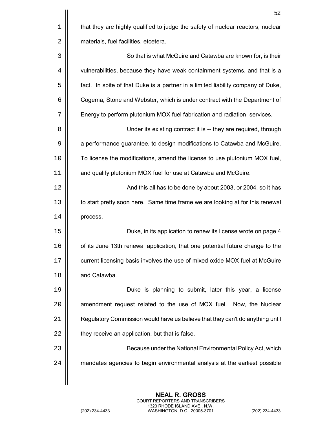|    | 52                                                                               |
|----|----------------------------------------------------------------------------------|
| 1  | that they are highly qualified to judge the safety of nuclear reactors, nuclear  |
| 2  | materials, fuel facilities, etcetera.                                            |
| 3  | So that is what McGuire and Catawba are known for, is their                      |
| 4  | vulnerabilities, because they have weak containment systems, and that is a       |
| 5  | fact. In spite of that Duke is a partner in a limited liability company of Duke, |
| 6  | Cogema, Stone and Webster, which is under contract with the Department of        |
| 7  | Energy to perform plutonium MOX fuel fabrication and radiation services.         |
| 8  | Under its existing contract it is -- they are required, through                  |
| 9  | a performance guarantee, to design modifications to Catawba and McGuire.         |
| 10 | To license the modifications, amend the license to use plutonium MOX fuel,       |
| 11 | and qualify plutonium MOX fuel for use at Catawba and McGuire.                   |
| 12 | And this all has to be done by about 2003, or 2004, so it has                    |
| 13 | to start pretty soon here. Same time frame we are looking at for this renewal    |
| 14 | process.                                                                         |
| 15 | Duke, in its application to renew its license wrote on page 4                    |
| 16 | of its June 13th renewal application, that one potential future change to the    |
| 17 | current licensing basis involves the use of mixed oxide MOX fuel at McGuire      |
| 18 | and Catawba.                                                                     |
| 19 | Duke is planning to submit, later this year, a license                           |
| 20 | amendment request related to the use of MOX fuel. Now, the Nuclear               |
| 21 | Regulatory Commission would have us believe that they can't do anything until    |
| 22 | they receive an application, but that is false.                                  |
| 23 | Because under the National Environmental Policy Act, which                       |
| 24 | mandates agencies to begin environmental analysis at the earliest possible       |
|    |                                                                                  |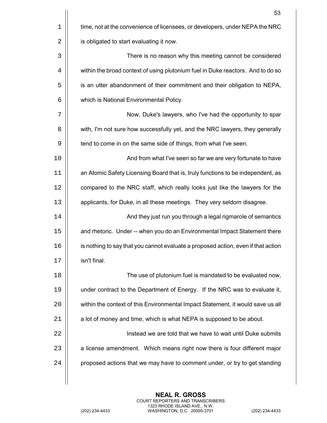|    | 53                                                                                |
|----|-----------------------------------------------------------------------------------|
| 1  | time, not at the convenience of licensees, or developers, under NEPA the NRC      |
| 2  | is obligated to start evaluating it now.                                          |
| 3  | There is no reason why this meeting cannot be considered                          |
| 4  | within the broad context of using plutonium fuel in Duke reactors. And to do so   |
| 5  | is an utter abandonment of their commitment and their obligation to NEPA,         |
| 6  | which is National Environmental Policy.                                           |
| 7  | Now, Duke's lawyers, who I've had the opportunity to spar                         |
| 8  | with, I'm not sure how successfully yet, and the NRC lawyers, they generally      |
| 9  | tend to come in on the same side of things, from what I've seen.                  |
| 10 | And from what I've seen so far we are very fortunate to have                      |
| 11 | an Atomic Safety Licensing Board that is, truly functions to be independent, as   |
| 12 | compared to the NRC staff, which really looks just like the lawyers for the       |
| 13 | applicants, for Duke, in all these meetings. They very seldom disagree.           |
| 14 | And they just run you through a legal rigmarole of semantics                      |
| 15 | and rhetoric. Under -- when you do an Environmental Impact Statement there        |
| 16 | is nothing to say that you cannot evaluate a proposed action, even if that action |
| 17 | isn't final.                                                                      |
| 18 | The use of plutonium fuel is mandated to be evaluated now,                        |
| 19 | under contract to the Department of Energy. If the NRC was to evaluate it,        |
| 20 | within the context of this Environmental Impact Statement, it would save us all   |
| 21 | a lot of money and time, which is what NEPA is supposed to be about.              |
| 22 | Instead we are told that we have to wait until Duke submits                       |
| 23 | a license amendment. Which means right now there is four different major          |
| 24 | proposed actions that we may have to comment under, or try to get standing        |
|    |                                                                                   |

**NEAL R. GROSS**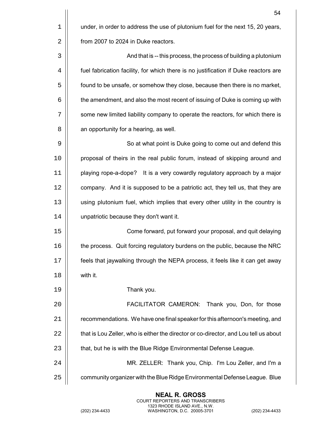|    | 54                                                                                   |
|----|--------------------------------------------------------------------------------------|
| 1  | under, in order to address the use of plutonium fuel for the next 15, 20 years,      |
| 2  | from 2007 to 2024 in Duke reactors.                                                  |
| 3  | And that is -- this process, the process of building a plutonium                     |
| 4  | fuel fabrication facility, for which there is no justification if Duke reactors are  |
| 5  | found to be unsafe, or somehow they close, because then there is no market,          |
| 6  | the amendment, and also the most recent of issuing of Duke is coming up with         |
| 7  | some new limited liability company to operate the reactors, for which there is       |
| 8  | an opportunity for a hearing, as well.                                               |
| 9  | So at what point is Duke going to come out and defend this                           |
| 10 | proposal of theirs in the real public forum, instead of skipping around and          |
| 11 | playing rope-a-dope? It is a very cowardly regulatory approach by a major            |
| 12 | company. And it is supposed to be a patriotic act, they tell us, that they are       |
| 13 | using plutonium fuel, which implies that every other utility in the country is       |
| 14 | unpatriotic because they don't want it.                                              |
| 15 | Come forward, put forward your proposal, and quit delaying                           |
| 16 | the process. Quit forcing regulatory burdens on the public, because the NRC          |
| 17 | feels that jaywalking through the NEPA process, it feels like it can get away        |
| 18 | with it.                                                                             |
| 19 | Thank you.                                                                           |
| 20 | <b>FACILITATOR CAMERON:</b><br>Thank you, Don, for those                             |
| 21 | recommendations. We have one final speaker for this afternoon's meeting, and         |
| 22 | that is Lou Zeller, who is either the director or co-director, and Lou tell us about |
| 23 | that, but he is with the Blue Ridge Environmental Defense League.                    |
| 24 | MR. ZELLER: Thank you, Chip. I'm Lou Zeller, and I'm a                               |
| 25 | community organizer with the Blue Ridge Environmental Defense League. Blue           |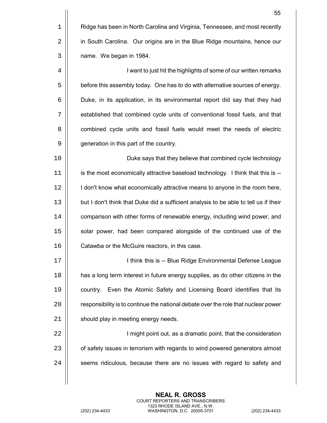|    | 55                                                                                   |
|----|--------------------------------------------------------------------------------------|
| 1  | Ridge has been in North Carolina and Virginia, Tennessee, and most recently          |
| 2  | in South Carolina. Our origins are in the Blue Ridge mountains, hence our            |
| 3  | name. We began in 1984.                                                              |
| 4  | I want to just hit the highlights of some of our written remarks                     |
| 5  | before this assembly today. One has to do with alternative sources of energy.        |
| 6  | Duke, in its application, in its environmental report did say that they had          |
| 7  | established that combined cycle units of conventional fossil fuels, and that         |
| 8  | combined cycle units and fossil fuels would meet the needs of electric               |
| 9  | generation in this part of the country.                                              |
| 10 | Duke says that they believe that combined cycle technology                           |
| 11 | is the most economically attractive baseload technology. I think that this is --     |
| 12 | I don't know what economically attractive means to anyone in the room here,          |
| 13 | but I don't think that Duke did a sufficient analysis to be able to tell us if their |
| 14 | comparison with other forms of renewable energy, including wind power, and           |
| 15 | solar power, had been compared alongside of the continued use of the                 |
| 16 | Catawba or the McGuire reactors, in this case.                                       |
| 17 | I think this is -- Blue Ridge Environmental Defense League                           |
| 18 | has a long term interest in future energy supplies, as do other citizens in the      |
| 19 | country. Even the Atomic Safety and Licensing Board identifies that its              |
| 20 | responsibility is to continue the national debate over the role that nuclear power   |
| 21 | should play in meeting energy needs.                                                 |
| 22 | I might point out, as a dramatic point, that the consideration                       |
| 23 | of safety issues in terrorism with regards to wind powered generators almost         |
| 24 | seems ridiculous, because there are no issues with regard to safety and              |
|    |                                                                                      |

**NEAL R. GROSS** COURT REPORTERS AND TRANSCRIBERS 1323 RHODE ISLAND AVE., N.W. (202) 234-4433 WASHINGTON, D.C. 20005-3701 (202) 234-4433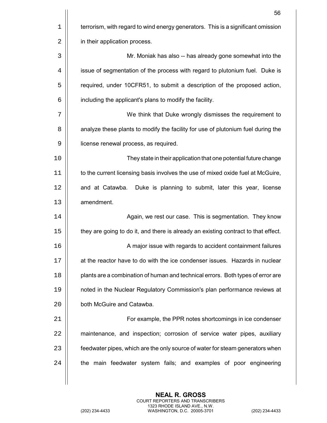|    | 56                                                                                 |
|----|------------------------------------------------------------------------------------|
| 1  | terrorism, with regard to wind energy generators. This is a significant omission   |
| 2  | in their application process.                                                      |
| 3  | Mr. Moniak has also -- has already gone somewhat into the                          |
| 4  | issue of segmentation of the process with regard to plutonium fuel. Duke is        |
| 5  | required, under 10CFR51, to submit a description of the proposed action,           |
| 6  | including the applicant's plans to modify the facility.                            |
| 7  | We think that Duke wrongly dismisses the requirement to                            |
| 8  | analyze these plants to modify the facility for use of plutonium fuel during the   |
| 9  | license renewal process, as required.                                              |
| 10 | They state in their application that one potential future change                   |
| 11 | to the current licensing basis involves the use of mixed oxide fuel at McGuire,    |
| 12 | and at Catawba.<br>Duke is planning to submit, later this year, license            |
| 13 | amendment.                                                                         |
| 14 | Again, we rest our case. This is segmentation. They know                           |
| 15 | they are going to do it, and there is already an existing contract to that effect. |
| 16 | A major issue with regards to accident containment failures                        |
| 17 | at the reactor have to do with the ice condenser issues. Hazards in nuclear        |
| 18 | plants are a combination of human and technical errors. Both types of error are    |
| 19 | noted in the Nuclear Regulatory Commission's plan performance reviews at           |
| 20 | both McGuire and Catawba.                                                          |
| 21 | For example, the PPR notes shortcomings in ice condenser                           |
| 22 | maintenance, and inspection; corrosion of service water pipes, auxiliary           |
| 23 | feedwater pipes, which are the only source of water for steam generators when      |
| 24 | the main feedwater system fails; and examples of poor engineering                  |
|    |                                                                                    |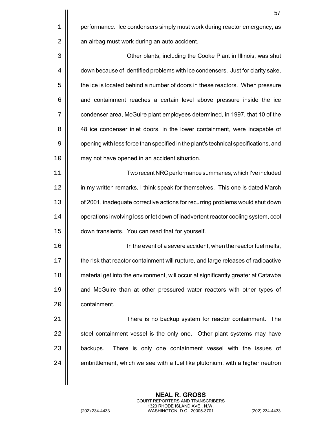|    | 57                                                                                  |
|----|-------------------------------------------------------------------------------------|
| 1  | performance. Ice condensers simply must work during reactor emergency, as           |
| 2  | an airbag must work during an auto accident.                                        |
| 3  | Other plants, including the Cooke Plant in Illinois, was shut                       |
| 4  | down because of identified problems with ice condensers. Just for clarity sake,     |
| 5  | the ice is located behind a number of doors in these reactors. When pressure        |
| 6  | and containment reaches a certain level above pressure inside the ice               |
| 7  | condenser area, McGuire plant employees determined, in 1997, that 10 of the         |
| 8  | 48 ice condenser inlet doors, in the lower containment, were incapable of           |
| 9  | opening with less force than specified in the plant's technical specifications, and |
| 10 | may not have opened in an accident situation.                                       |
| 11 | Two recent NRC performance summaries, which I've included                           |
| 12 | in my written remarks, I think speak for themselves. This one is dated March        |
| 13 | of 2001, inadequate corrective actions for recurring problems would shut down       |
| 14 | operations involving loss or let down of inadvertent reactor cooling system, cool   |
| 15 | down transients. You can read that for yourself.                                    |
| 16 | In the event of a severe accident, when the reactor fuel melts,                     |
| 17 | the risk that reactor containment will rupture, and large releases of radioactive   |
| 18 | material get into the environment, will occur at significantly greater at Catawba   |
| 19 | and McGuire than at other pressured water reactors with other types of              |
| 20 | containment.                                                                        |

21 | There is no backup system for reactor containment. The  $\parallel$  steel containment vessel is the only one. Other plant systems may have || backups. There is only one containment vessel with the issues of  $\vert\vert$  embrittlement, which we see with a fuel like plutonium, with a higher neutron